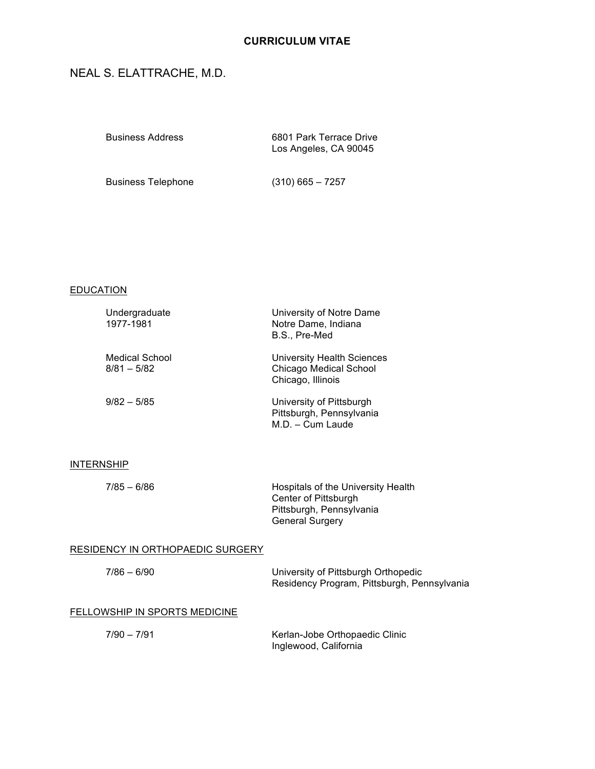# **CURRICULUM VITAE**

# NEAL S. ELATTRACHE, M.D.

| <b>Business Address</b> | 6801 Park Terrace Drive<br>Los Angeles, CA 90045 |
|-------------------------|--------------------------------------------------|
|                         |                                                  |

Business Telephone (310) 665 – 7257

## **EDUCATION**

| Undergraduate<br>1977-1981             | University of Notre Dame<br>Notre Dame, Indiana<br>B.S., Pre-Med                        |
|----------------------------------------|-----------------------------------------------------------------------------------------|
| <b>Medical School</b><br>$8/81 - 5/82$ | <b>University Health Sciences</b><br><b>Chicago Medical School</b><br>Chicago, Illinois |
| $9/82 - 5/85$                          | University of Pittsburgh<br>Pittsburgh, Pennsylvania<br>$M.D. - Cum Laude$              |

## **INTERNSHIP**

| $7/85 - 6/86$ | Hospitals of the University Health |
|---------------|------------------------------------|
|               | Center of Pittsburgh               |
|               | Pittsburgh, Pennsylvania           |
|               | <b>General Surgery</b>             |
|               |                                    |

## RESIDENCY IN ORTHOPAEDIC SURGERY

| $7/86 - 6/90$                 | University of Pittsburgh Orthopedic<br>Residency Program, Pittsburgh, Pennsylvania |
|-------------------------------|------------------------------------------------------------------------------------|
| FELLOWSHIP IN SPORTS MEDICINE |                                                                                    |
| $7/90 - 7/91$                 | Kerlan-Jobe Orthopaedic Clinic<br>Inglewood, California                            |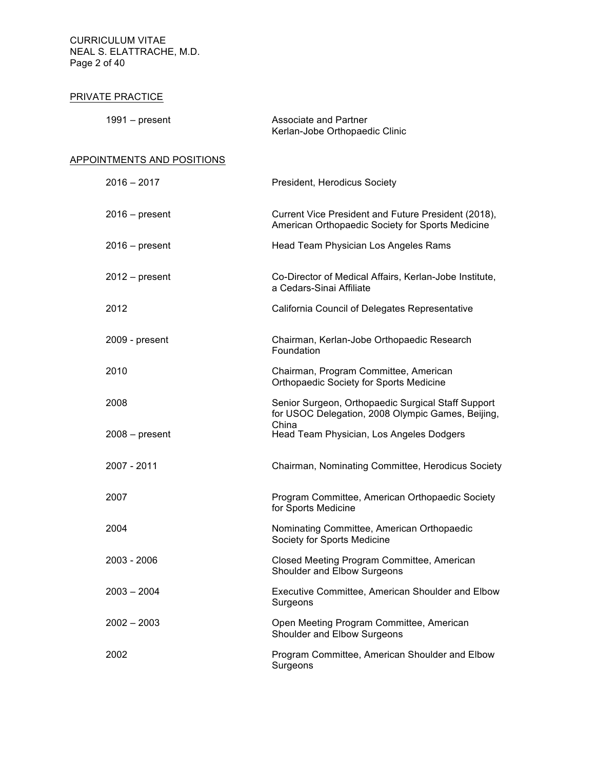CURRICULUM VITAE NEAL S. ELATTRACHE, M.D. Page 2 of 40

## PRIVATE PRACTICE

| 1991 – present | Associate and Partner          |
|----------------|--------------------------------|
|                | Kerlan-Jobe Orthopaedic Clinic |

## APPOINTMENTS AND POSITIONS

| $2016 - 2017$    | President, Herodicus Society                                                                                     |
|------------------|------------------------------------------------------------------------------------------------------------------|
| $2016$ – present | Current Vice President and Future President (2018),<br>American Orthopaedic Society for Sports Medicine          |
| $2016$ – present | Head Team Physician Los Angeles Rams                                                                             |
| $2012 - present$ | Co-Director of Medical Affairs, Kerlan-Jobe Institute,<br>a Cedars-Sinai Affiliate                               |
| 2012             | California Council of Delegates Representative                                                                   |
| 2009 - present   | Chairman, Kerlan-Jobe Orthopaedic Research<br>Foundation                                                         |
| 2010             | Chairman, Program Committee, American<br>Orthopaedic Society for Sports Medicine                                 |
| 2008             | Senior Surgeon, Orthopaedic Surgical Staff Support<br>for USOC Delegation, 2008 Olympic Games, Beijing,<br>China |
| $2008 - present$ | Head Team Physician, Los Angeles Dodgers                                                                         |
| 2007 - 2011      | Chairman, Nominating Committee, Herodicus Society                                                                |
| 2007             | Program Committee, American Orthopaedic Society<br>for Sports Medicine                                           |
| 2004             | Nominating Committee, American Orthopaedic<br>Society for Sports Medicine                                        |
| 2003 - 2006      | Closed Meeting Program Committee, American<br>Shoulder and Elbow Surgeons                                        |
| 2003 – 2004      | Executive Committee, American Shoulder and Elbow<br>Surgeons                                                     |
| $2002 - 2003$    | Open Meeting Program Committee, American<br>Shoulder and Elbow Surgeons                                          |
| 2002             | Program Committee, American Shoulder and Elbow<br>Surgeons                                                       |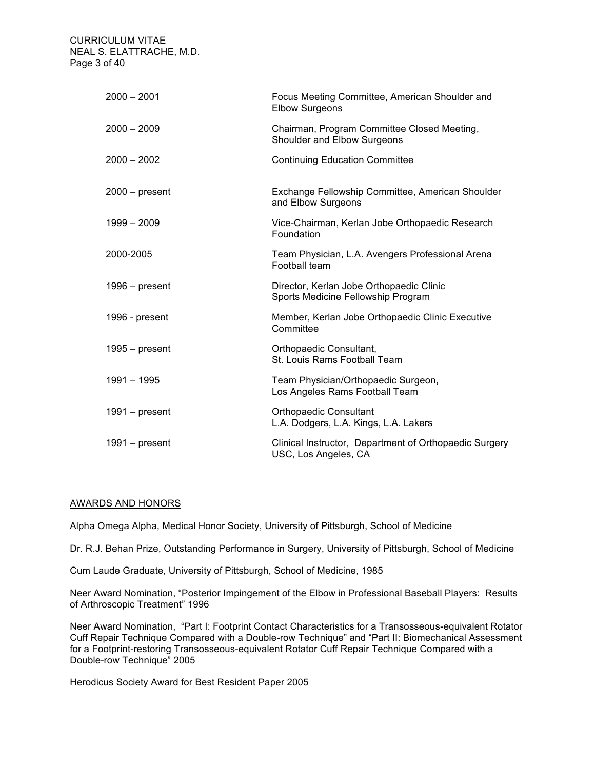CURRICULUM VITAE NEAL S. ELATTRACHE, M.D. Page 3 of 40

| $2000 - 2001$    | Focus Meeting Committee, American Shoulder and<br><b>Elbow Surgeons</b>        |
|------------------|--------------------------------------------------------------------------------|
| $2000 - 2009$    | Chairman, Program Committee Closed Meeting,<br>Shoulder and Elbow Surgeons     |
| $2000 - 2002$    | <b>Continuing Education Committee</b>                                          |
| $2000 - present$ | Exchange Fellowship Committee, American Shoulder<br>and Elbow Surgeons         |
| $1999 - 2009$    | Vice-Chairman, Kerlan Jobe Orthopaedic Research<br>Foundation                  |
| 2000-2005        | Team Physician, L.A. Avengers Professional Arena<br>Football team              |
| $1996 - present$ | Director, Kerlan Jobe Orthopaedic Clinic<br>Sports Medicine Fellowship Program |
| 1996 - present   | Member, Kerlan Jobe Orthopaedic Clinic Executive<br>Committee                  |
| $1995 - present$ | Orthopaedic Consultant,<br>St. Louis Rams Football Team                        |
| $1991 - 1995$    | Team Physician/Orthopaedic Surgeon,<br>Los Angeles Rams Football Team          |
| $1991 - present$ | <b>Orthopaedic Consultant</b><br>L.A. Dodgers, L.A. Kings, L.A. Lakers         |
| $1991 - present$ | Clinical Instructor, Department of Orthopaedic Surgery<br>USC, Los Angeles, CA |

## AWARDS AND HONORS

Alpha Omega Alpha, Medical Honor Society, University of Pittsburgh, School of Medicine

Dr. R.J. Behan Prize, Outstanding Performance in Surgery, University of Pittsburgh, School of Medicine

Cum Laude Graduate, University of Pittsburgh, School of Medicine, 1985

Neer Award Nomination, "Posterior Impingement of the Elbow in Professional Baseball Players: Results of Arthroscopic Treatment" 1996

Neer Award Nomination, "Part I: Footprint Contact Characteristics for a Transosseous-equivalent Rotator Cuff Repair Technique Compared with a Double-row Technique" and "Part II: Biomechanical Assessment for a Footprint-restoring Transosseous-equivalent Rotator Cuff Repair Technique Compared with a Double-row Technique" 2005

Herodicus Society Award for Best Resident Paper 2005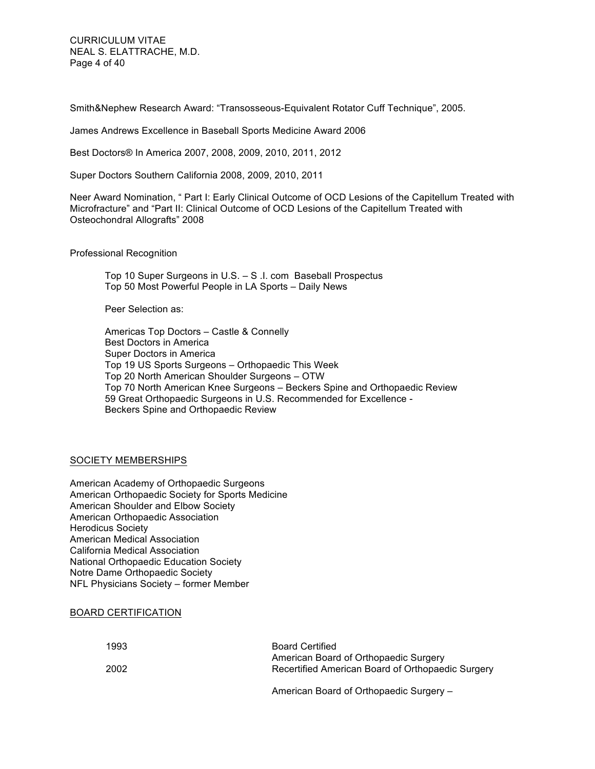CURRICULUM VITAE NEAL S. ELATTRACHE, M.D. Page 4 of 40

Smith&Nephew Research Award: "Transosseous-Equivalent Rotator Cuff Technique", 2005.

James Andrews Excellence in Baseball Sports Medicine Award 2006

Best Doctors® In America 2007, 2008, 2009, 2010, 2011, 2012

Super Doctors Southern California 2008, 2009, 2010, 2011

Neer Award Nomination, " Part I: Early Clinical Outcome of OCD Lesions of the Capitellum Treated with Microfracture" and "Part II: Clinical Outcome of OCD Lesions of the Capitellum Treated with Osteochondral Allografts" 2008

Professional Recognition

Top 10 Super Surgeons in U.S. – S .I. com Baseball Prospectus Top 50 Most Powerful People in LA Sports – Daily News

Peer Selection as:

Americas Top Doctors – Castle & Connelly Best Doctors in America Super Doctors in America Top 19 US Sports Surgeons – Orthopaedic This Week Top 20 North American Shoulder Surgeons – OTW Top 70 North American Knee Surgeons – Beckers Spine and Orthopaedic Review 59 Great Orthopaedic Surgeons in U.S. Recommended for Excellence - Beckers Spine and Orthopaedic Review

## SOCIETY MEMBERSHIPS

American Academy of Orthopaedic Surgeons American Orthopaedic Society for Sports Medicine American Shoulder and Elbow Society American Orthopaedic Association Herodicus Society American Medical Association California Medical Association National Orthopaedic Education Society Notre Dame Orthopaedic Society NFL Physicians Society – former Member

#### BOARD CERTIFICATION

| 1993 | <b>Board Certified</b>                            |
|------|---------------------------------------------------|
|      | American Board of Orthopaedic Surgery             |
| 2002 | Recertified American Board of Orthopaedic Surgery |
|      |                                                   |

American Board of Orthopaedic Surgery –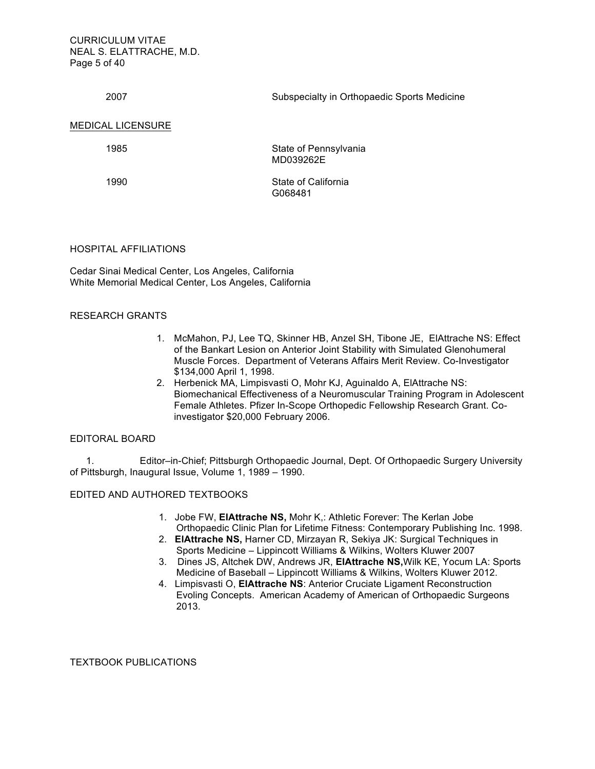CURRICULUM VITAE NEAL S. ELATTRACHE, M.D. Page 5 of 40

2007 Subspecialty in Orthopaedic Sports Medicine

#### MEDICAL LICENSURE

1985

State of Pennsylvania MD039262E

1990

State of California G068481

#### HOSPITAL AFFILIATIONS

Cedar Sinai Medical Center, Los Angeles, California White Memorial Medical Center, Los Angeles, California

## RESEARCH GRANTS

- 1. McMahon, PJ, Lee TQ, Skinner HB, Anzel SH, Tibone JE, ElAttrache NS: Effect of the Bankart Lesion on Anterior Joint Stability with Simulated Glenohumeral Muscle Forces. Department of Veterans Affairs Merit Review. Co-Investigator \$134,000 April 1, 1998.
- 2. Herbenick MA, Limpisvasti O, Mohr KJ, Aguinaldo A, ElAttrache NS: Biomechanical Effectiveness of a Neuromuscular Training Program in Adolescent Female Athletes. Pfizer In-Scope Orthopedic Fellowship Research Grant. Coinvestigator \$20,000 February 2006.

## EDITORAL BOARD

 1. Editor–in-Chief; Pittsburgh Orthopaedic Journal, Dept. Of Orthopaedic Surgery University of Pittsburgh, Inaugural Issue, Volume 1, 1989 – 1990.

## EDITED AND AUTHORED TEXTBOOKS

- 1. Jobe FW, **ElAttrache NS,** Mohr K,: Athletic Forever: The Kerlan Jobe Orthopaedic Clinic Plan for Lifetime Fitness: Contemporary Publishing Inc. 1998.
- 2. **ElAttrache NS,** Harner CD, Mirzayan R, Sekiya JK: Surgical Techniques in Sports Medicine – Lippincott Williams & Wilkins, Wolters Kluwer 2007
- 3. Dines JS, Altchek DW, Andrews JR, **ElAttrache NS,**Wilk KE, Yocum LA: Sports Medicine of Baseball – Lippincott Williams & Wilkins, Wolters Kluwer 2012.
- 4. Limpisvasti O, **ElAttrache NS**: Anterior Cruciate Ligament Reconstruction Evoling Concepts. American Academy of American of Orthopaedic Surgeons 2013.

TEXTBOOK PUBLICATIONS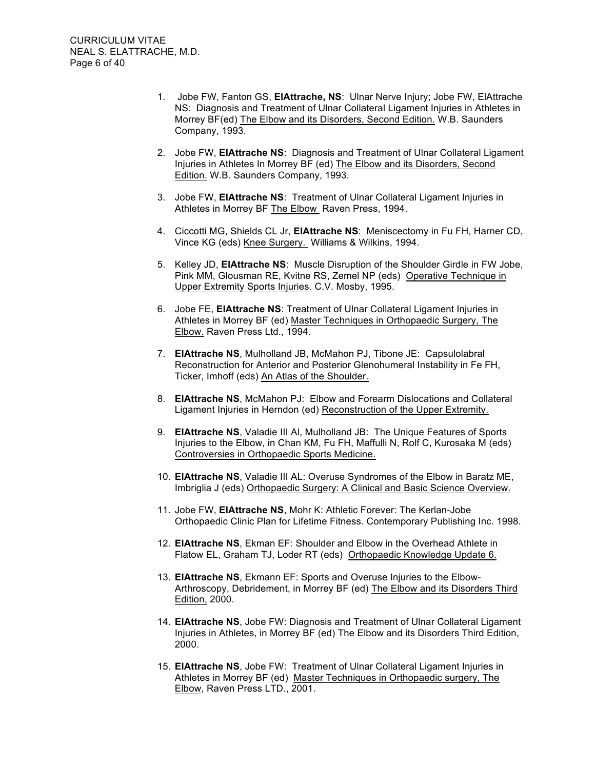- 1. Jobe FW, Fanton GS, **ElAttrache, NS**: Ulnar Nerve Injury; Jobe FW, ElAttrache NS: Diagnosis and Treatment of Ulnar Collateral Ligament Injuries in Athletes in Morrey BF(ed) The Elbow and its Disorders, Second Edition. W.B. Saunders Company, 1993.
- 2. Jobe FW, **ElAttrache NS**: Diagnosis and Treatment of Ulnar Collateral Ligament Injuries in Athletes In Morrey BF (ed) The Elbow and its Disorders, Second Edition. W.B. Saunders Company, 1993.
- 3. Jobe FW, **ElAttrache NS**: Treatment of Ulnar Collateral Ligament Injuries in Athletes in Morrey BF The Elbow Raven Press, 1994.
- 4. Ciccotti MG, Shields CL Jr, **ElAttrache NS**: Meniscectomy in Fu FH, Harner CD, Vince KG (eds) Knee Surgery. Williams & Wilkins, 1994.
- 5. Kelley JD, **ElAttrache NS**: Muscle Disruption of the Shoulder Girdle in FW Jobe, Pink MM, Glousman RE, Kvitne RS, Zemel NP (eds) Operative Technique in Upper Extremity Sports Injuries. C.V. Mosby, 1995.
- 6. Jobe FE, **ElAttrache NS**: Treatment of Ulnar Collateral Ligament Injuries in Athletes in Morrey BF (ed) Master Techniques in Orthopaedic Surgery, The Elbow. Raven Press Ltd., 1994.
- 7. **ElAttrache NS**, Mulholland JB, McMahon PJ, Tibone JE: Capsulolabral Reconstruction for Anterior and Posterior Glenohumeral Instability in Fe FH, Ticker, Imhoff (eds) An Atlas of the Shoulder.
- 8. **ElAttrache NS**, McMahon PJ: Elbow and Forearm Dislocations and Collateral Ligament Injuries in Herndon (ed) Reconstruction of the Upper Extremity.
- 9. **ElAttrache NS**, Valadie III Al, Mulholland JB: The Unique Features of Sports Injuries to the Elbow, in Chan KM, Fu FH, Maffulli N, Rolf C, Kurosaka M (eds) Controversies in Orthopaedic Sports Medicine.
- 10. **ElAttrache NS**, Valadie III AL: Overuse Syndromes of the Elbow in Baratz ME, Imbriglia J (eds) Orthopaedic Surgery: A Clinical and Basic Science Overview.
- 11. Jobe FW, **ElAttrache NS**, Mohr K: Athletic Forever: The Kerlan-Jobe Orthopaedic Clinic Plan for Lifetime Fitness. Contemporary Publishing Inc. 1998.
- 12. **ElAttrache NS**, Ekman EF: Shoulder and Elbow in the Overhead Athlete in Flatow EL, Graham TJ, Loder RT (eds) Orthopaedic Knowledge Update 6.
- 13. **ElAttrache NS**, Ekmann EF: Sports and Overuse Injuries to the Elbow-Arthroscopy, Debridement, in Morrey BF (ed) The Elbow and its Disorders Third Edition, 2000.
- 14. **ElAttrache NS**, Jobe FW: Diagnosis and Treatment of Ulnar Collateral Ligament Injuries in Athletes, in Morrey BF (ed) The Elbow and its Disorders Third Edition, 2000.
- 15. **ElAttrache NS**, Jobe FW: Treatment of Ulnar Collateral Ligament Injuries in Athletes in Morrey BF (ed) Master Techniques in Orthopaedic surgery, The Elbow, Raven Press LTD., 2001.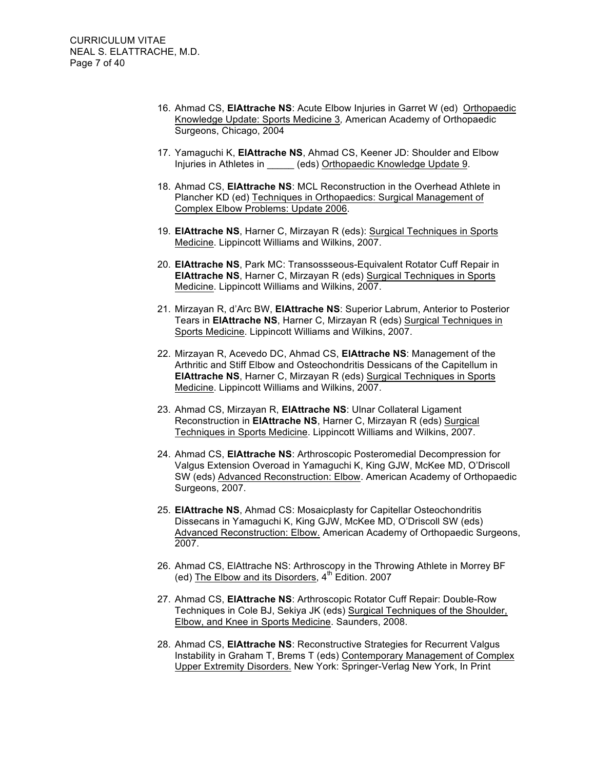- 16. Ahmad CS, **ElAttrache NS**: Acute Elbow Injuries in Garret W (ed) Orthopaedic Knowledge Update: Sports Medicine 3*,* American Academy of Orthopaedic Surgeons, Chicago, 2004
- 17. Yamaguchi K, **ElAttrache NS**, Ahmad CS, Keener JD: Shoulder and Elbow Injuries in Athletes in \_\_\_\_\_ (eds) Orthopaedic Knowledge Update 9.
- 18. Ahmad CS, **ElAttrache NS**: MCL Reconstruction in the Overhead Athlete in Plancher KD (ed) Techniques in Orthopaedics: Surgical Management of Complex Elbow Problems: Update 2006.
- 19. **ElAttrache NS**, Harner C, Mirzayan R (eds): Surgical Techniques in Sports Medicine. Lippincott Williams and Wilkins, 2007.
- 20. **ElAttrache NS**, Park MC: Transossseous-Equivalent Rotator Cuff Repair in **ElAttrache NS**, Harner C, Mirzayan R (eds) Surgical Techniques in Sports Medicine. Lippincott Williams and Wilkins, 2007.
- 21. Mirzayan R, d'Arc BW, **ElAttrache NS**: Superior Labrum, Anterior to Posterior Tears in **ElAttrache NS**, Harner C, Mirzayan R (eds) Surgical Techniques in Sports Medicine. Lippincott Williams and Wilkins, 2007.
- 22. Mirzayan R, Acevedo DC, Ahmad CS, **ElAttrache NS**: Management of the Arthritic and Stiff Elbow and Osteochondritis Dessicans of the Capitellum in **ElAttrache NS**, Harner C, Mirzayan R (eds) Surgical Techniques in Sports Medicine. Lippincott Williams and Wilkins, 2007.
- 23. Ahmad CS, Mirzayan R, **ElAttrache NS**: Ulnar Collateral Ligament Reconstruction in **ElAttrache NS**, Harner C, Mirzayan R (eds) Surgical Techniques in Sports Medicine. Lippincott Williams and Wilkins, 2007.
- 24. Ahmad CS, **ElAttrache NS**: Arthroscopic Posteromedial Decompression for Valgus Extension Overoad in Yamaguchi K, King GJW, McKee MD, O'Driscoll SW (eds) Advanced Reconstruction: Elbow. American Academy of Orthopaedic Surgeons, 2007.
- 25. **ElAttrache NS**, Ahmad CS: Mosaicplasty for Capitellar Osteochondritis Dissecans in Yamaguchi K, King GJW, McKee MD, O'Driscoll SW (eds) Advanced Reconstruction: Elbow. American Academy of Orthopaedic Surgeons, 2007.
- 26. Ahmad CS, ElAttrache NS: Arthroscopy in the Throwing Athlete in Morrey BF (ed) The Elbow and its Disorders,  $4<sup>th</sup>$  Edition. 2007
- 27. Ahmad CS, **ElAttrache NS**: Arthroscopic Rotator Cuff Repair: Double-Row Techniques in Cole BJ, Sekiya JK (eds) Surgical Techniques of the Shoulder, Elbow, and Knee in Sports Medicine. Saunders, 2008.
- 28. Ahmad CS, **ElAttrache NS**: Reconstructive Strategies for Recurrent Valgus Instability in Graham T, Brems T (eds) Contemporary Management of Complex Upper Extremity Disorders. New York: Springer-Verlag New York, In Print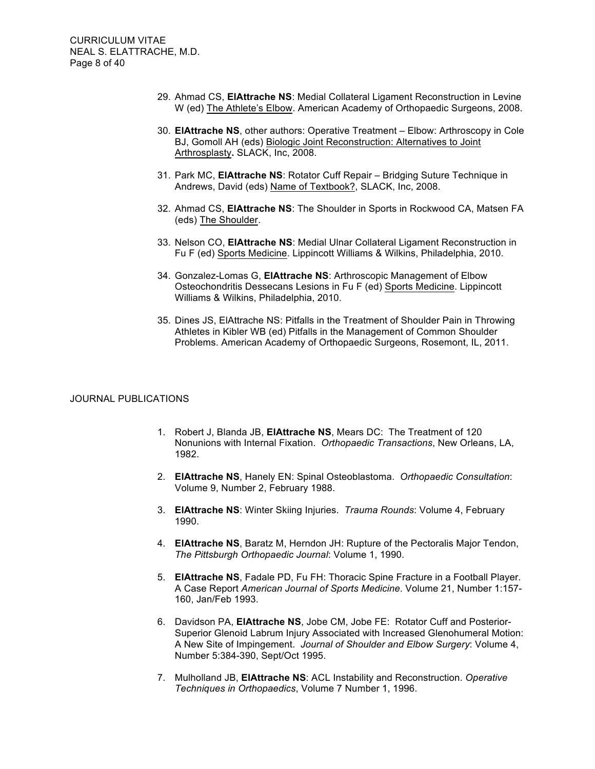- 29. Ahmad CS, **ElAttrache NS**: Medial Collateral Ligament Reconstruction in Levine W (ed) The Athlete's Elbow. American Academy of Orthopaedic Surgeons, 2008.
- 30. **ElAttrache NS**, other authors: Operative Treatment Elbow: Arthroscopy in Cole BJ, Gomoll AH (eds) Biologic Joint Reconstruction: Alternatives to Joint Arthrosplasty**.** SLACK, Inc, 2008.
- 31. Park MC, **ElAttrache NS**: Rotator Cuff Repair Bridging Suture Technique in Andrews, David (eds) Name of Textbook?, SLACK, Inc, 2008.
- 32. Ahmad CS, **ElAttrache NS**: The Shoulder in Sports in Rockwood CA, Matsen FA (eds) The Shoulder.
- 33. Nelson CO, **ElAttrache NS**: Medial Ulnar Collateral Ligament Reconstruction in Fu F (ed) Sports Medicine. Lippincott Williams & Wilkins, Philadelphia, 2010.
- 34. Gonzalez-Lomas G, **ElAttrache NS**: Arthroscopic Management of Elbow Osteochondritis Dessecans Lesions in Fu F (ed) Sports Medicine. Lippincott Williams & Wilkins, Philadelphia, 2010.
- 35. Dines JS, ElAttrache NS: Pitfalls in the Treatment of Shoulder Pain in Throwing Athletes in Kibler WB (ed) Pitfalls in the Management of Common Shoulder Problems. American Academy of Orthopaedic Surgeons, Rosemont, IL, 2011.

## JOURNAL PUBLICATIONS

- 1. Robert J, Blanda JB, **ElAttrache NS**, Mears DC: The Treatment of 120 Nonunions with Internal Fixation. *Orthopaedic Transactions*, New Orleans, LA, 1982.
- 2. **ElAttrache NS**, Hanely EN: Spinal Osteoblastoma. *Orthopaedic Consultation*: Volume 9, Number 2, February 1988.
- 3. **ElAttrache NS**: Winter Skiing Injuries. *Trauma Rounds*: Volume 4, February 1990.
- 4. **ElAttrache NS**, Baratz M, Herndon JH: Rupture of the Pectoralis Major Tendon, *The Pittsburgh Orthopaedic Journal*: Volume 1, 1990.
- 5. **ElAttrache NS**, Fadale PD, Fu FH: Thoracic Spine Fracture in a Football Player. A Case Report *American Journal of Sports Medicine*. Volume 21, Number 1:157- 160, Jan/Feb 1993.
- 6. Davidson PA, **ElAttrache NS**, Jobe CM, Jobe FE: Rotator Cuff and Posterior-Superior Glenoid Labrum Injury Associated with Increased Glenohumeral Motion: A New Site of Impingement. *Journal of Shoulder and Elbow Surgery*: Volume 4, Number 5:384-390, Sept/Oct 1995.
- 7. Mulholland JB, **ElAttrache NS**: ACL Instability and Reconstruction. *Operative Techniques in Orthopaedics*, Volume 7 Number 1, 1996.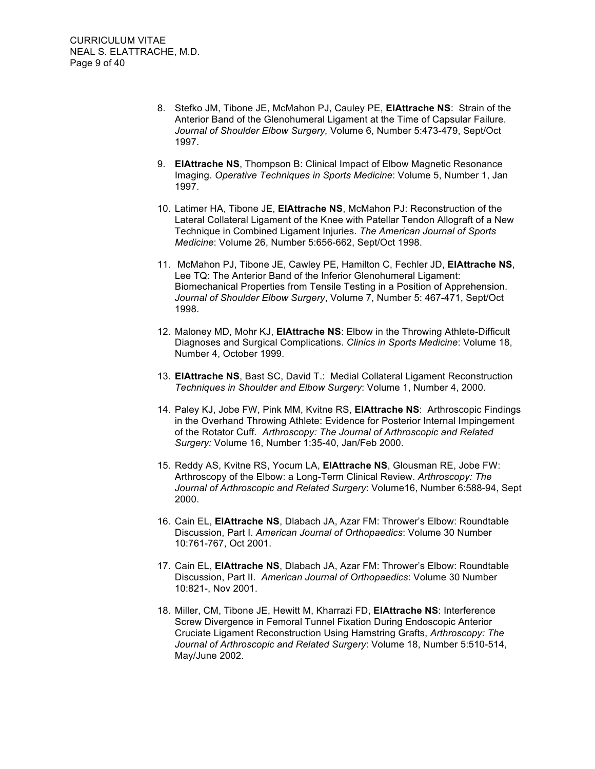- 8. Stefko JM, Tibone JE, McMahon PJ, Cauley PE, **ElAttrache NS**: Strain of the Anterior Band of the Glenohumeral Ligament at the Time of Capsular Failure. *Journal of Shoulder Elbow Surgery,* Volume 6, Number 5:473-479, Sept/Oct 1997.
- 9. **ElAttrache NS**, Thompson B: Clinical Impact of Elbow Magnetic Resonance Imaging. *Operative Techniques in Sports Medicine*: Volume 5, Number 1, Jan 1997.
- 10. Latimer HA, Tibone JE, **ElAttrache NS**, McMahon PJ: Reconstruction of the Lateral Collateral Ligament of the Knee with Patellar Tendon Allograft of a New Technique in Combined Ligament Injuries. *The American Journal of Sports Medicine*: Volume 26, Number 5:656-662, Sept/Oct 1998.
- 11. McMahon PJ, Tibone JE, Cawley PE, Hamilton C, Fechler JD, **ElAttrache NS**, Lee TQ: The Anterior Band of the Inferior Glenohumeral Ligament: Biomechanical Properties from Tensile Testing in a Position of Apprehension. *Journal of Shoulder Elbow Surgery*, Volume 7, Number 5: 467-471, Sept/Oct 1998.
- 12. Maloney MD, Mohr KJ, **ElAttrache NS**: Elbow in the Throwing Athlete-Difficult Diagnoses and Surgical Complications. *Clinics in Sports Medicine*: Volume 18, Number 4, October 1999.
- 13. **ElAttrache NS**, Bast SC, David T.: Medial Collateral Ligament Reconstruction *Techniques in Shoulder and Elbow Surgery*: Volume 1, Number 4, 2000.
- 14. Paley KJ, Jobe FW, Pink MM, Kvitne RS, **ElAttrache NS**: Arthroscopic Findings in the Overhand Throwing Athlete: Evidence for Posterior Internal Impingement of the Rotator Cuff*. Arthroscopy: The Journal of Arthroscopic and Related Surgery:* Volume 16, Number 1:35-40, Jan/Feb 2000.
- 15. Reddy AS, Kvitne RS, Yocum LA, **ElAttrache NS**, Glousman RE, Jobe FW: Arthroscopy of the Elbow: a Long-Term Clinical Review. *Arthroscopy: The Journal of Arthroscopic and Related Surgery*: Volume16, Number 6:588-94, Sept 2000.
- 16. Cain EL, **ElAttrache NS**, Dlabach JA, Azar FM: Thrower's Elbow: Roundtable Discussion, Part I. *American Journal of Orthopaedics*: Volume 30 Number 10:761-767, Oct 2001.
- 17. Cain EL, **ElAttrache NS**, Dlabach JA, Azar FM: Thrower's Elbow: Roundtable Discussion, Part II. *American Journal of Orthopaedics*: Volume 30 Number 10:821-, Nov 2001.
- 18. Miller, CM, Tibone JE, Hewitt M, Kharrazi FD, **ElAttrache NS**: Interference Screw Divergence in Femoral Tunnel Fixation During Endoscopic Anterior Cruciate Ligament Reconstruction Using Hamstring Grafts, *Arthroscopy: The Journal of Arthroscopic and Related Surgery*: Volume 18, Number 5:510-514, May/June 2002.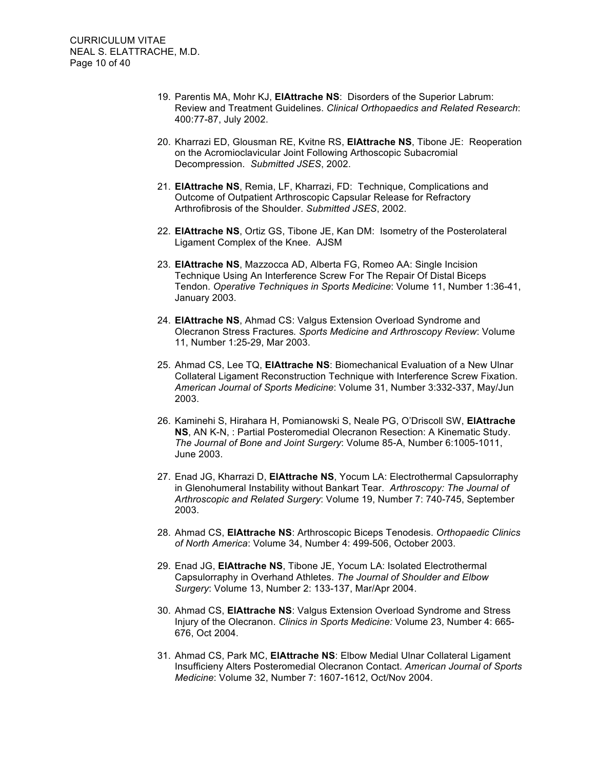- 19. Parentis MA, Mohr KJ, **ElAttrache NS**: Disorders of the Superior Labrum: Review and Treatment Guidelines. *Clinical Orthopaedics and Related Research*: 400:77-87, July 2002.
- 20. Kharrazi ED, Glousman RE, Kvitne RS, **ElAttrache NS**, Tibone JE: Reoperation on the Acromioclavicular Joint Following Arthoscopic Subacromial Decompression. *Submitted JSES*, 2002.
- 21. **ElAttrache NS**, Remia, LF, Kharrazi, FD: Technique, Complications and Outcome of Outpatient Arthroscopic Capsular Release for Refractory Arthrofibrosis of the Shoulder. *Submitted JSES*, 2002.
- 22. **ElAttrache NS**, Ortiz GS, Tibone JE, Kan DM: Isometry of the Posterolateral Ligament Complex of the Knee. AJSM
- 23. **ElAttrache NS**, Mazzocca AD, Alberta FG, Romeo AA: Single Incision Technique Using An Interference Screw For The Repair Of Distal Biceps Tendon. *Operative Techniques in Sports Medicine*: Volume 11, Number 1:36-41, January 2003.
- 24. **ElAttrache NS**, Ahmad CS: Valgus Extension Overload Syndrome and Olecranon Stress Fractures*. Sports Medicine and Arthroscopy Review*: Volume 11, Number 1:25-29, Mar 2003.
- 25. Ahmad CS, Lee TQ, **ElAttrache NS**: Biomechanical Evaluation of a New Ulnar Collateral Ligament Reconstruction Technique with Interference Screw Fixation. *American Journal of Sports Medicine*: Volume 31, Number 3:332-337, May/Jun 2003.
- 26. Kaminehi S, Hirahara H, Pomianowski S, Neale PG, O'Driscoll SW, **ElAttrache NS**, AN K-N, : Partial Posteromedial Olecranon Resection: A Kinematic Study. *The Journal of Bone and Joint Surgery*: Volume 85-A, Number 6:1005-1011, June 2003.
- 27. Enad JG, Kharrazi D, **ElAttrache NS**, Yocum LA: Electrothermal Capsulorraphy in Glenohumeral Instability without Bankart Tear. *Arthroscopy: The Journal of Arthroscopic and Related Surgery*: Volume 19, Number 7: 740-745, September 2003.
- 28. Ahmad CS, **ElAttrache NS**: Arthroscopic Biceps Tenodesis. *Orthopaedic Clinics of North America*: Volume 34, Number 4: 499-506, October 2003.
- 29. Enad JG, **ElAttrache NS**, Tibone JE, Yocum LA: Isolated Electrothermal Capsulorraphy in Overhand Athletes. *The Journal of Shoulder and Elbow Surgery*: Volume 13, Number 2: 133-137, Mar/Apr 2004.
- 30. Ahmad CS, **ElAttrache NS**: Valgus Extension Overload Syndrome and Stress Injury of the Olecranon. *Clinics in Sports Medicine:* Volume 23, Number 4: 665- 676, Oct 2004.
- 31. Ahmad CS, Park MC, **ElAttrache NS**: Elbow Medial Ulnar Collateral Ligament Insufficieny Alters Posteromedial Olecranon Contact. *American Journal of Sports Medicine*: Volume 32, Number 7: 1607-1612, Oct/Nov 2004.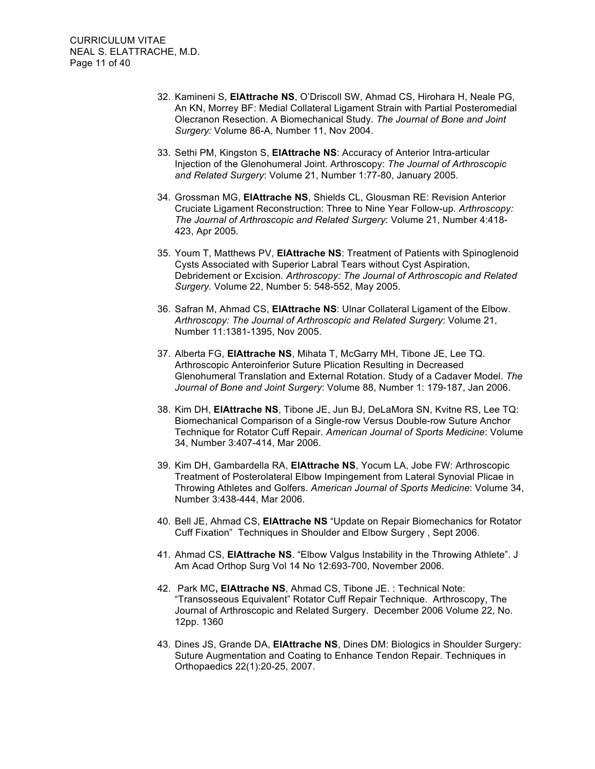- 32. Kamineni S, **ElAttrache NS**, O'Driscoll SW, Ahmad CS, Hirohara H, Neale PG, An KN, Morrey BF: Medial Collateral Ligament Strain with Partial Posteromedial Olecranon Resection. A Biomechanical Study. *The Journal of Bone and Joint Surgery:* Volume 86-A, Number 11, Nov 2004.
- 33. Sethi PM, Kingston S, **ElAttrache NS**: Accuracy of Anterior Intra-articular Injection of the Glenohumeral Joint. Arthroscopy: *The Journal of Arthroscopic and Related Surgery*: Volume 21, Number 1:77-80, January 2005.
- 34. Grossman MG, **ElAttrache NS**, Shields CL, Glousman RE: Revision Anterior Cruciate Ligament Reconstruction: Three to Nine Year Follow-up*. Arthroscopy: The Journal of Arthroscopic and Related Surgery*: Volume 21, Number 4:418- 423, Apr 2005.
- 35. Youm T, Matthews PV, **ElAttrache NS**: Treatment of Patients with Spinoglenoid Cysts Associated with Superior Labral Tears without Cyst Aspiration, Debridement or Excision. *Arthroscopy: The Journal of Arthroscopic and Related Surgery.* Volume 22, Number 5: 548-552, May 2005.
- 36. Safran M, Ahmad CS, **ElAttrache NS**: Ulnar Collateral Ligament of the Elbow. *Arthroscopy: The Journal of Arthroscopic and Related Surgery*: Volume 21, Number 11:1381-1395, Nov 2005.
- 37. Alberta FG, **ElAttrache NS**, Mihata T, McGarry MH, Tibone JE, Lee TQ. Arthroscopic Anteroinferior Suture Plication Resulting in Decreased Glenohumeral Translation and External Rotation. Study of a Cadaver Model. *The Journal of Bone and Joint Surgery*: Volume 88, Number 1: 179-187, Jan 2006.
- 38. Kim DH, **ElAttrache NS**, Tibone JE, Jun BJ, DeLaMora SN, Kvitne RS, Lee TQ: Biomechanical Comparison of a Single-row Versus Double-row Suture Anchor Technique for Rotator Cuff Repair. *American Journal of Sports Medicine*: Volume 34, Number 3:407-414, Mar 2006.
- 39. Kim DH, Gambardella RA, **ElAttrache NS**, Yocum LA, Jobe FW: Arthroscopic Treatment of Posterolateral Elbow Impingement from Lateral Synovial Plicae in Throwing Athletes and Golfers. *American Journal of Sports Medicine*: Volume 34, Number 3:438-444, Mar 2006.
- 40. Bell JE, Ahmad CS, **ElAttrache NS** "Update on Repair Biomechanics for Rotator Cuff Fixation" Techniques in Shoulder and Elbow Surgery , Sept 2006.
- 41. Ahmad CS, **ElAttrache NS**. "Elbow Valgus Instability in the Throwing Athlete". J Am Acad Orthop Surg Vol 14 No 12:693-700, November 2006.
- 42. Park MC**, ElAttrache NS**, Ahmad CS, Tibone JE. : Technical Note: "Transosseous Equivalent" Rotator Cuff Repair Technique. Arthroscopy, The Journal of Arthroscopic and Related Surgery. December 2006 Volume 22, No. 12pp. 1360
- 43. Dines JS, Grande DA, **ElAttrache NS**, Dines DM: Biologics in Shoulder Surgery: Suture Augmentation and Coating to Enhance Tendon Repair. Techniques in Orthopaedics 22(1):20-25, 2007.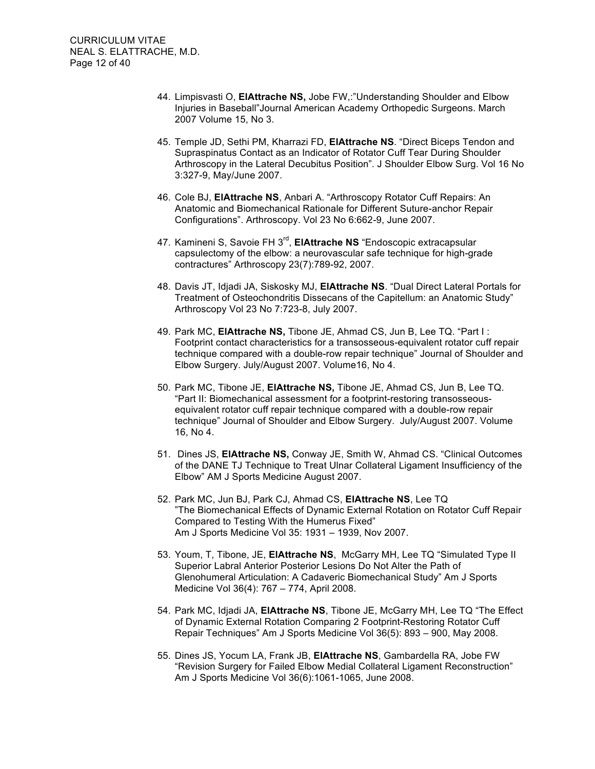- 44. Limpisvasti O, **ElAttrache NS,** Jobe FW,:"Understanding Shoulder and Elbow Injuries in Baseball"Journal American Academy Orthopedic Surgeons. March 2007 Volume 15, No 3.
- 45. Temple JD, Sethi PM, Kharrazi FD, **ElAttrache NS**. "Direct Biceps Tendon and Supraspinatus Contact as an Indicator of Rotator Cuff Tear During Shoulder Arthroscopy in the Lateral Decubitus Position". J Shoulder Elbow Surg. Vol 16 No 3:327-9, May/June 2007.
- 46. Cole BJ, **ElAttrache NS**, Anbari A. "Arthroscopy Rotator Cuff Repairs: An Anatomic and Biomechanical Rationale for Different Suture-anchor Repair Configurations". Arthroscopy. Vol 23 No 6:662-9, June 2007.
- 47. Kamineni S, Savoie FH 3<sup>rd</sup>, **ElAttrache NS** "Endoscopic extracapsular capsulectomy of the elbow: a neurovascular safe technique for high-grade contractures" Arthroscopy 23(7):789-92, 2007.
- 48. Davis JT, Idjadi JA, Siskosky MJ, **ElAttrache NS**. "Dual Direct Lateral Portals for Treatment of Osteochondritis Dissecans of the Capitellum: an Anatomic Study" Arthroscopy Vol 23 No 7:723-8, July 2007.
- 49. Park MC, **ElAttrache NS,** Tibone JE, Ahmad CS, Jun B, Lee TQ. "Part I : Footprint contact characteristics for a transosseous-equivalent rotator cuff repair technique compared with a double-row repair technique" Journal of Shoulder and Elbow Surgery. July/August 2007. Volume16, No 4.
- 50. Park MC, Tibone JE, **ElAttrache NS,** Tibone JE, Ahmad CS, Jun B, Lee TQ. "Part II: Biomechanical assessment for a footprint-restoring transosseousequivalent rotator cuff repair technique compared with a double-row repair technique" Journal of Shoulder and Elbow Surgery. July/August 2007. Volume 16, No 4.
- 51. Dines JS, **ElAttrache NS,** Conway JE, Smith W, Ahmad CS. "Clinical Outcomes of the DANE TJ Technique to Treat Ulnar Collateral Ligament Insufficiency of the Elbow" AM J Sports Medicine August 2007.
- 52. Park MC, Jun BJ, Park CJ, Ahmad CS, **ElAttrache NS**, Lee TQ "The Biomechanical Effects of Dynamic External Rotation on Rotator Cuff Repair Compared to Testing With the Humerus Fixed" Am J Sports Medicine Vol 35: 1931 – 1939, Nov 2007.
- 53. Youm, T, Tibone, JE, **ElAttrache NS**, McGarry MH, Lee TQ "Simulated Type II Superior Labral Anterior Posterior Lesions Do Not Alter the Path of Glenohumeral Articulation: A Cadaveric Biomechanical Study" Am J Sports Medicine Vol 36(4): 767 – 774, April 2008.
- 54. Park MC, Idjadi JA, **ElAttrache NS**, Tibone JE, McGarry MH, Lee TQ "The Effect of Dynamic External Rotation Comparing 2 Footprint-Restoring Rotator Cuff Repair Techniques" Am J Sports Medicine Vol 36(5): 893 – 900, May 2008.
- 55. Dines JS, Yocum LA, Frank JB, **ElAttrache NS**, Gambardella RA, Jobe FW "Revision Surgery for Failed Elbow Medial Collateral Ligament Reconstruction" Am J Sports Medicine Vol 36(6):1061-1065, June 2008.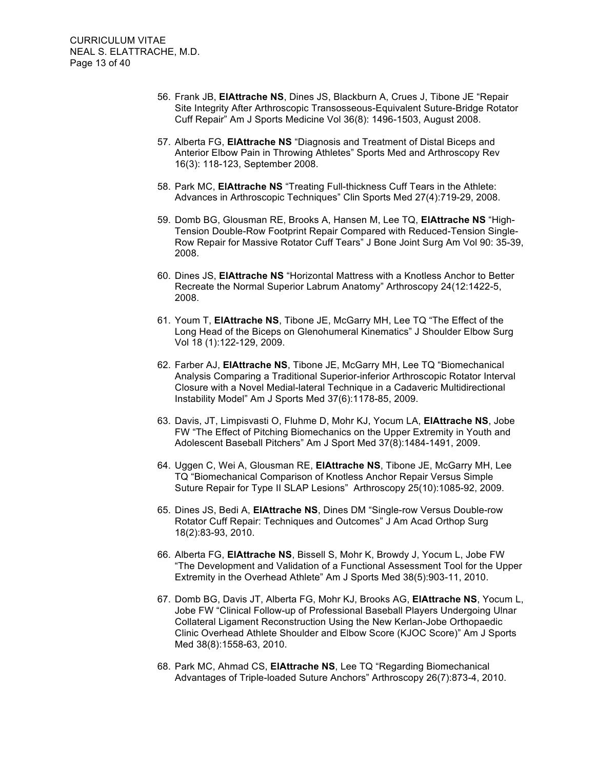- 56. Frank JB, **ElAttrache NS**, Dines JS, Blackburn A, Crues J, Tibone JE "Repair Site Integrity After Arthroscopic Transosseous-Equivalent Suture-Bridge Rotator Cuff Repair" Am J Sports Medicine Vol 36(8): 1496-1503, August 2008.
- 57. Alberta FG, **ElAttrache NS** "Diagnosis and Treatment of Distal Biceps and Anterior Elbow Pain in Throwing Athletes" Sports Med and Arthroscopy Rev 16(3): 118-123, September 2008.
- 58. Park MC, **ElAttrache NS** "Treating Full-thickness Cuff Tears in the Athlete: Advances in Arthroscopic Techniques" Clin Sports Med 27(4):719-29, 2008.
- 59. Domb BG, Glousman RE, Brooks A, Hansen M, Lee TQ, **ElAttrache NS** "High-Tension Double-Row Footprint Repair Compared with Reduced-Tension Single-Row Repair for Massive Rotator Cuff Tears" J Bone Joint Surg Am Vol 90: 35-39, 2008.
- 60. Dines JS, **ElAttrache NS** "Horizontal Mattress with a Knotless Anchor to Better Recreate the Normal Superior Labrum Anatomy" Arthroscopy 24(12:1422-5, 2008.
- 61. Youm T, **ElAttrache NS**, Tibone JE, McGarry MH, Lee TQ "The Effect of the Long Head of the Biceps on Glenohumeral Kinematics" J Shoulder Elbow Surg Vol 18 (1):122-129, 2009.
- 62. Farber AJ, **ElAttrache NS**, Tibone JE, McGarry MH, Lee TQ "Biomechanical Analysis Comparing a Traditional Superior-inferior Arthroscopic Rotator Interval Closure with a Novel Medial-lateral Technique in a Cadaveric Multidirectional Instability Model" Am J Sports Med 37(6):1178-85, 2009.
- 63. Davis, JT, Limpisvasti O, Fluhme D, Mohr KJ, Yocum LA, **ElAttrache NS**, Jobe FW "The Effect of Pitching Biomechanics on the Upper Extremity in Youth and Adolescent Baseball Pitchers" Am J Sport Med 37(8):1484-1491, 2009.
- 64. Uggen C, Wei A, Glousman RE, **ElAttrache NS**, Tibone JE, McGarry MH, Lee TQ "Biomechanical Comparison of Knotless Anchor Repair Versus Simple Suture Repair for Type II SLAP Lesions" Arthroscopy 25(10):1085-92, 2009.
- 65. Dines JS, Bedi A, **ElAttrache NS**, Dines DM "Single-row Versus Double-row Rotator Cuff Repair: Techniques and Outcomes" J Am Acad Orthop Surg 18(2):83-93, 2010.
- 66. Alberta FG, **ElAttrache NS**, Bissell S, Mohr K, Browdy J, Yocum L, Jobe FW "The Development and Validation of a Functional Assessment Tool for the Upper Extremity in the Overhead Athlete" Am J Sports Med 38(5):903-11, 2010.
- 67. Domb BG, Davis JT, Alberta FG, Mohr KJ, Brooks AG, **ElAttrache NS**, Yocum L, Jobe FW "Clinical Follow-up of Professional Baseball Players Undergoing Ulnar Collateral Ligament Reconstruction Using the New Kerlan-Jobe Orthopaedic Clinic Overhead Athlete Shoulder and Elbow Score (KJOC Score)" Am J Sports Med 38(8):1558-63, 2010.
- 68. Park MC, Ahmad CS, **ElAttrache NS**, Lee TQ "Regarding Biomechanical Advantages of Triple-loaded Suture Anchors" Arthroscopy 26(7):873-4, 2010.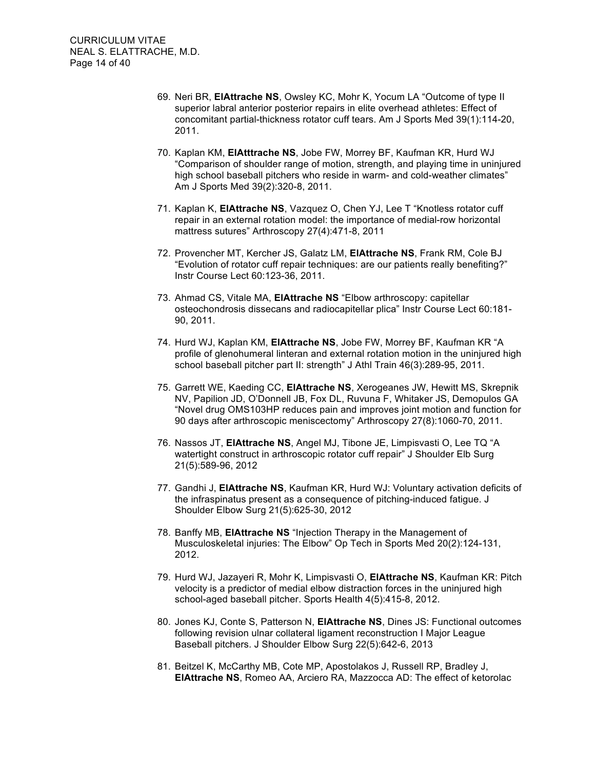- 69. Neri BR, **ElAttrache NS**, Owsley KC, Mohr K, Yocum LA "Outcome of type II superior labral anterior posterior repairs in elite overhead athletes: Effect of concomitant partial-thickness rotator cuff tears. Am J Sports Med 39(1):114-20, 2011.
- 70. Kaplan KM, **ElAtttrache NS**, Jobe FW, Morrey BF, Kaufman KR, Hurd WJ "Comparison of shoulder range of motion, strength, and playing time in uninjured high school baseball pitchers who reside in warm- and cold-weather climates" Am J Sports Med 39(2):320-8, 2011.
- 71. Kaplan K, **ElAttrache NS**, Vazquez O, Chen YJ, Lee T "Knotless rotator cuff repair in an external rotation model: the importance of medial-row horizontal mattress sutures" Arthroscopy 27(4):471-8, 2011
- 72. Provencher MT, Kercher JS, Galatz LM, **ElAttrache NS**, Frank RM, Cole BJ "Evolution of rotator cuff repair techniques: are our patients really benefiting?" Instr Course Lect 60:123-36, 2011.
- 73. Ahmad CS, Vitale MA, **ElAttrache NS** "Elbow arthroscopy: capitellar osteochondrosis dissecans and radiocapitellar plica" Instr Course Lect 60:181- 90, 2011.
- 74. Hurd WJ, Kaplan KM, **ElAttrache NS**, Jobe FW, Morrey BF, Kaufman KR "A profile of glenohumeral linteran and external rotation motion in the uninjured high school baseball pitcher part II: strength" J Athl Train 46(3):289-95, 2011.
- 75. Garrett WE, Kaeding CC, **ElAttrache NS**, Xerogeanes JW, Hewitt MS, Skrepnik NV, Papilion JD, O'Donnell JB, Fox DL, Ruvuna F, Whitaker JS, Demopulos GA "Novel drug OMS103HP reduces pain and improves joint motion and function for 90 days after arthroscopic meniscectomy" Arthroscopy 27(8):1060-70, 2011.
- 76. Nassos JT, **ElAttrache NS**, Angel MJ, Tibone JE, Limpisvasti O, Lee TQ "A watertight construct in arthroscopic rotator cuff repair" J Shoulder Elb Surg 21(5):589-96, 2012
- 77. Gandhi J, **ElAttrache NS**, Kaufman KR, Hurd WJ: Voluntary activation deficits of the infraspinatus present as a consequence of pitching-induced fatigue. J Shoulder Elbow Surg 21(5):625-30, 2012
- 78. Banffy MB, **ElAttrache NS** "Injection Therapy in the Management of Musculoskeletal injuries: The Elbow" Op Tech in Sports Med 20(2):124-131, 2012.
- 79. Hurd WJ, Jazayeri R, Mohr K, Limpisvasti O, **ElAttrache NS**, Kaufman KR: Pitch velocity is a predictor of medial elbow distraction forces in the uninjured high school-aged baseball pitcher. Sports Health 4(5):415-8, 2012.
- 80. Jones KJ, Conte S, Patterson N, **ElAttrache NS**, Dines JS: Functional outcomes following revision ulnar collateral ligament reconstruction I Major League Baseball pitchers. J Shoulder Elbow Surg 22(5):642-6, 2013
- 81. Beitzel K, McCarthy MB, Cote MP, Apostolakos J, Russell RP, Bradley J, **ElAttrache NS**, Romeo AA, Arciero RA, Mazzocca AD: The effect of ketorolac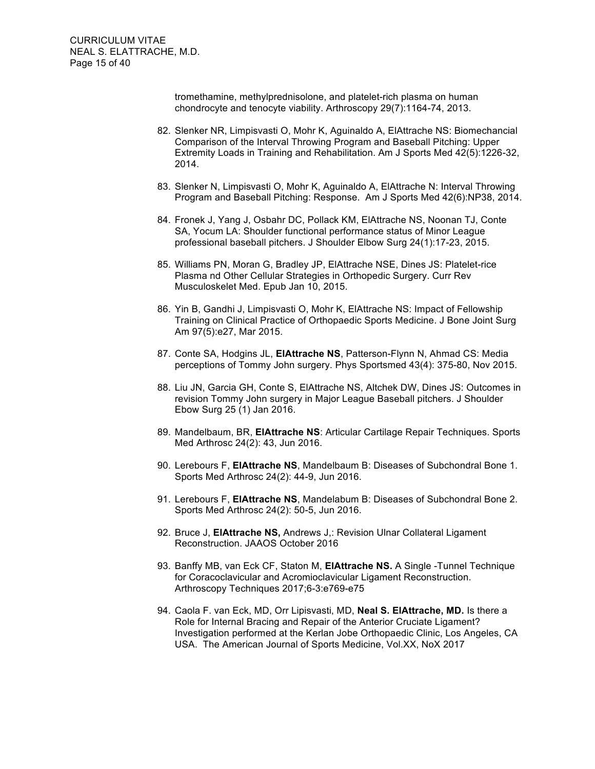tromethamine, methylprednisolone, and platelet-rich plasma on human chondrocyte and tenocyte viability. Arthroscopy 29(7):1164-74, 2013.

- 82. Slenker NR, Limpisvasti O, Mohr K, Aguinaldo A, ElAttrache NS: Biomechancial Comparison of the Interval Throwing Program and Baseball Pitching: Upper Extremity Loads in Training and Rehabilitation. Am J Sports Med 42(5):1226-32, 2014.
- 83. Slenker N, Limpisvasti O, Mohr K, Aguinaldo A, ElAttrache N: Interval Throwing Program and Baseball Pitching: Response. Am J Sports Med 42(6):NP38, 2014.
- 84. Fronek J, Yang J, Osbahr DC, Pollack KM, ElAttrache NS, Noonan TJ, Conte SA, Yocum LA: Shoulder functional performance status of Minor League professional baseball pitchers. J Shoulder Elbow Surg 24(1):17-23, 2015.
- 85. Williams PN, Moran G, Bradley JP, ElAttrache NSE, Dines JS: Platelet-rice Plasma nd Other Cellular Strategies in Orthopedic Surgery. Curr Rev Musculoskelet Med. Epub Jan 10, 2015.
- 86. Yin B, Gandhi J, Limpisvasti O, Mohr K, ElAttrache NS: Impact of Fellowship Training on Clinical Practice of Orthopaedic Sports Medicine. J Bone Joint Surg Am 97(5):e27, Mar 2015.
- 87. Conte SA, Hodgins JL, **ElAttrache NS**, Patterson-Flynn N, Ahmad CS: Media perceptions of Tommy John surgery. Phys Sportsmed 43(4): 375-80, Nov 2015.
- 88. Liu JN, Garcia GH, Conte S, ElAttrache NS, Altchek DW, Dines JS: Outcomes in revision Tommy John surgery in Major League Baseball pitchers. J Shoulder Ebow Surg 25 (1) Jan 2016.
- 89. Mandelbaum, BR, **ElAttrache NS**: Articular Cartilage Repair Techniques. Sports Med Arthrosc 24(2): 43, Jun 2016.
- 90. Lerebours F, **ElAttrache NS**, Mandelbaum B: Diseases of Subchondral Bone 1. Sports Med Arthrosc 24(2): 44-9, Jun 2016.
- 91. Lerebours F, **ElAttrache NS**, Mandelabum B: Diseases of Subchondral Bone 2. Sports Med Arthrosc 24(2): 50-5, Jun 2016.
- 92. Bruce J, **ElAttrache NS,** Andrews J,: Revision Ulnar Collateral Ligament Reconstruction. JAAOS October 2016
- 93. Banffy MB, van Eck CF, Staton M, **ElAttrache NS.** A Single -Tunnel Technique for Coracoclavicular and Acromioclavicular Ligament Reconstruction. Arthroscopy Techniques 2017;6-3:e769-e75
- 94. Caola F. van Eck, MD, Orr Lipisvasti, MD, **Neal S. ElAttrache, MD.** Is there a Role for Internal Bracing and Repair of the Anterior Cruciate Ligament? Investigation performed at the Kerlan Jobe Orthopaedic Clinic, Los Angeles, CA USA. The American Journal of Sports Medicine, Vol.XX, NoX 2017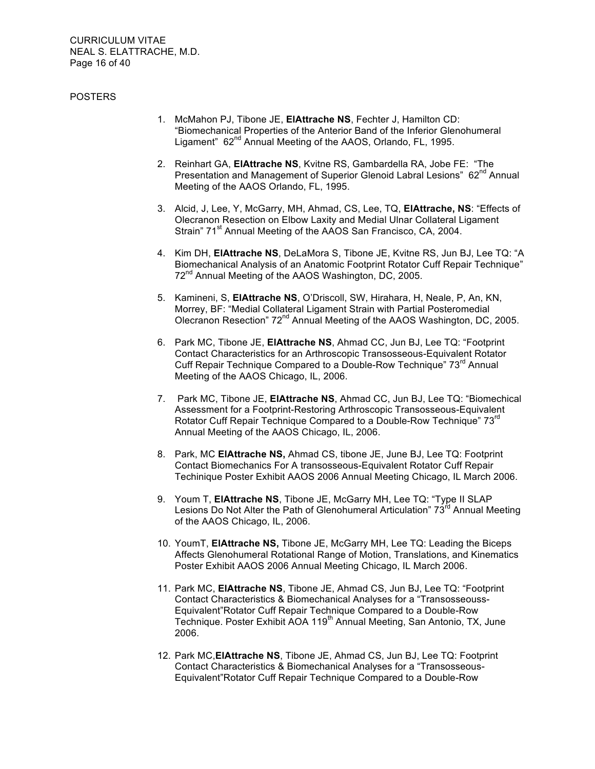CURRICULUM VITAE NEAL S. ELATTRACHE, M.D. Page 16 of 40

#### POSTERS

- 1. McMahon PJ, Tibone JE, **ElAttrache NS**, Fechter J, Hamilton CD: "Biomechanical Properties of the Anterior Band of the Inferior Glenohumeral Ligament" 62<sup>nd</sup> Annual Meeting of the AAOS, Orlando, FL, 1995.
- 2. Reinhart GA, **ElAttrache NS**, Kvitne RS, Gambardella RA, Jobe FE: "The Presentation and Management of Superior Glenoid Labral Lesions" 62<sup>nd</sup> Annual Meeting of the AAOS Orlando, FL, 1995.
- 3. Alcid, J, Lee, Y, McGarry, MH, Ahmad, CS, Lee, TQ, **ElAttrache, NS**: "Effects of Olecranon Resection on Elbow Laxity and Medial Ulnar Collateral Ligament Strain" 71<sup>st</sup> Annual Meeting of the AAOS San Francisco, CA, 2004.
- 4. Kim DH, **ElAttrache NS**, DeLaMora S, Tibone JE, Kvitne RS, Jun BJ, Lee TQ: "A Biomechanical Analysis of an Anatomic Footprint Rotator Cuff Repair Technique" 72<sup>nd</sup> Annual Meeting of the AAOS Washington, DC, 2005.
- 5. Kamineni, S, **ElAttrache NS**, O'Driscoll, SW, Hirahara, H, Neale, P, An, KN, Morrey, BF: "Medial Collateral Ligament Strain with Partial Posteromedial Olecranon Resection" 72<sup>nd</sup> Annual Meeting of the AAOS Washington, DC, 2005.
- 6. Park MC, Tibone JE, **ElAttrache NS**, Ahmad CC, Jun BJ, Lee TQ: "Footprint Contact Characteristics for an Arthroscopic Transosseous-Equivalent Rotator Cuff Repair Technique Compared to a Double-Row Technique" 73<sup>rd</sup> Annual Meeting of the AAOS Chicago, IL, 2006.
- 7. Park MC, Tibone JE, **ElAttrache NS**, Ahmad CC, Jun BJ, Lee TQ: "Biomechical Assessment for a Footprint-Restoring Arthroscopic Transosseous-Equivalent Rotator Cuff Repair Technique Compared to a Double-Row Technique" 73<sup>rd</sup> Annual Meeting of the AAOS Chicago, IL, 2006.
- 8. Park, MC **ElAttrache NS,** Ahmad CS, tibone JE, June BJ, Lee TQ: Footprint Contact Biomechanics For A transosseous-Equivalent Rotator Cuff Repair Techinique Poster Exhibit AAOS 2006 Annual Meeting Chicago, IL March 2006.
- 9. Youm T, **ElAttrache NS**, Tibone JE, McGarry MH, Lee TQ: "Type II SLAP Lesions Do Not Alter the Path of Glenohumeral Articulation"  $73<sup>rd</sup>$  Annual Meeting of the AAOS Chicago, IL, 2006.
- 10. YoumT, **ElAttrache NS,** Tibone JE, McGarry MH, Lee TQ: Leading the Biceps Affects Glenohumeral Rotational Range of Motion, Translations, and Kinematics Poster Exhibit AAOS 2006 Annual Meeting Chicago, IL March 2006.
- 11. Park MC, **ElAttrache NS**, Tibone JE, Ahmad CS, Jun BJ, Lee TQ: "Footprint Contact Characteristics & Biomechanical Analyses for a "Transosseouss-Equivalent"Rotator Cuff Repair Technique Compared to a Double-Row Technique. Poster Exhibit AOA 119<sup>th</sup> Annual Meeting, San Antonio, TX, June 2006.
- 12. Park MC,**ElAttrache NS**, Tibone JE, Ahmad CS, Jun BJ, Lee TQ: Footprint Contact Characteristics & Biomechanical Analyses for a "Transosseous-Equivalent"Rotator Cuff Repair Technique Compared to a Double-Row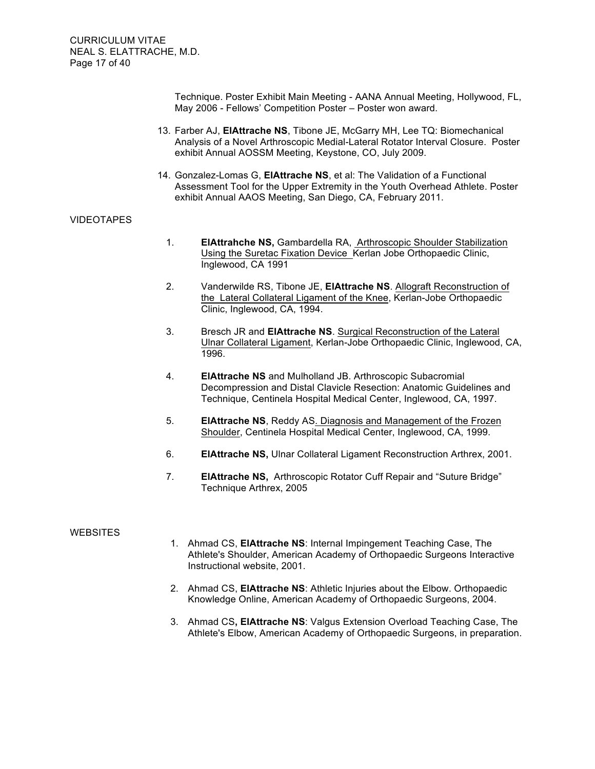Technique. Poster Exhibit Main Meeting - AANA Annual Meeting, Hollywood, FL, May 2006 - Fellows' Competition Poster – Poster won award.

- 13. Farber AJ, **ElAttrache NS**, Tibone JE, McGarry MH, Lee TQ: Biomechanical Analysis of a Novel Arthroscopic Medial-Lateral Rotator Interval Closure. Poster exhibit Annual AOSSM Meeting, Keystone, CO, July 2009.
- 14. Gonzalez-Lomas G, **ElAttrache NS**, et al: The Validation of a Functional Assessment Tool for the Upper Extremity in the Youth Overhead Athlete. Poster exhibit Annual AAOS Meeting, San Diego, CA, February 2011.

## VIDEOTAPES

- 1. **ElAttrahche NS,** Gambardella RA, Arthroscopic Shoulder Stabilization Using the Suretac Fixation Device Kerlan Jobe Orthopaedic Clinic, Inglewood, CA 1991
- 2. Vanderwilde RS, Tibone JE, **ElAttrache NS**. Allograft Reconstruction of the Lateral Collateral Ligament of the Knee, Kerlan-Jobe Orthopaedic Clinic, Inglewood, CA, 1994.
- 3. Bresch JR and **ElAttrache NS**. Surgical Reconstruction of the Lateral Ulnar Collateral Ligament, Kerlan-Jobe Orthopaedic Clinic, Inglewood, CA, 1996.
- 4. **ElAttrache NS** and Mulholland JB. Arthroscopic Subacromial Decompression and Distal Clavicle Resection: Anatomic Guidelines and Technique, Centinela Hospital Medical Center, Inglewood, CA, 1997.
- 5. **ElAttrache NS**, Reddy AS. Diagnosis and Management of the Frozen Shoulder, Centinela Hospital Medical Center, Inglewood, CA, 1999.
- 6. **ElAttrache NS,** Ulnar Collateral Ligament Reconstruction Arthrex, 2001.
- 7. **ElAttrache NS,** Arthroscopic Rotator Cuff Repair and "Suture Bridge" Technique Arthrex, 2005

#### **WEBSITES**

- 1. Ahmad CS, **ElAttrache NS**: Internal Impingement Teaching Case, The Athlete's Shoulder, American Academy of Orthopaedic Surgeons Interactive Instructional website, 2001.
- 2. Ahmad CS, **ElAttrache NS**: Athletic Injuries about the Elbow. Orthopaedic Knowledge Online, American Academy of Orthopaedic Surgeons, 2004.
- 3. Ahmad CS**, ElAttrache NS**: Valgus Extension Overload Teaching Case, The Athlete's Elbow, American Academy of Orthopaedic Surgeons, in preparation.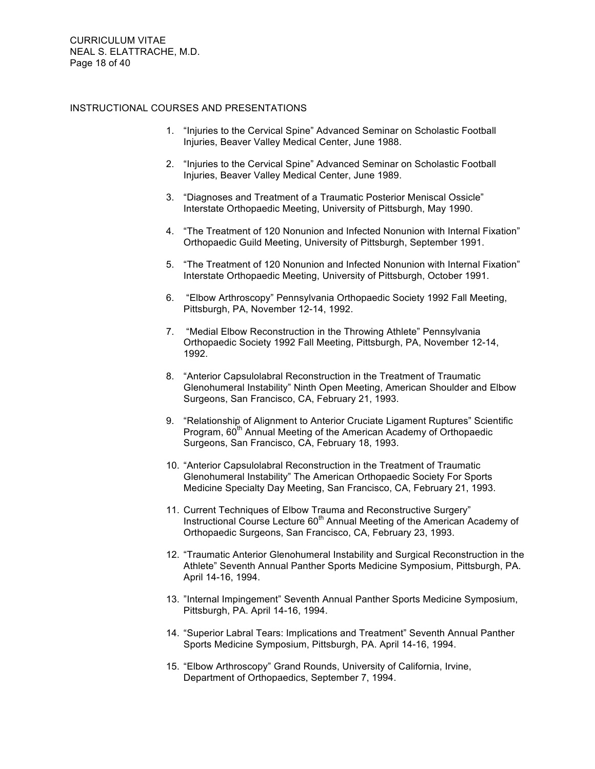CURRICULUM VITAE NEAL S. ELATTRACHE, M.D. Page 18 of 40

#### INSTRUCTIONAL COURSES AND PRESENTATIONS

- 1. "Injuries to the Cervical Spine" Advanced Seminar on Scholastic Football Injuries, Beaver Valley Medical Center, June 1988.
- 2. "Injuries to the Cervical Spine" Advanced Seminar on Scholastic Football Injuries, Beaver Valley Medical Center, June 1989.
- 3. "Diagnoses and Treatment of a Traumatic Posterior Meniscal Ossicle" Interstate Orthopaedic Meeting, University of Pittsburgh, May 1990.
- 4. "The Treatment of 120 Nonunion and Infected Nonunion with Internal Fixation" Orthopaedic Guild Meeting, University of Pittsburgh, September 1991.
- 5. "The Treatment of 120 Nonunion and Infected Nonunion with Internal Fixation" Interstate Orthopaedic Meeting, University of Pittsburgh, October 1991.
- 6. "Elbow Arthroscopy" Pennsylvania Orthopaedic Society 1992 Fall Meeting, Pittsburgh, PA, November 12-14, 1992.
- 7. "Medial Elbow Reconstruction in the Throwing Athlete" Pennsylvania Orthopaedic Society 1992 Fall Meeting, Pittsburgh, PA, November 12-14, 1992.
- 8. "Anterior Capsulolabral Reconstruction in the Treatment of Traumatic Glenohumeral Instability" Ninth Open Meeting, American Shoulder and Elbow Surgeons, San Francisco, CA, February 21, 1993.
- 9. "Relationship of Alignment to Anterior Cruciate Ligament Ruptures" Scientific Program, 60<sup>th</sup> Annual Meeting of the American Academy of Orthopaedic Surgeons, San Francisco, CA, February 18, 1993.
- 10. "Anterior Capsulolabral Reconstruction in the Treatment of Traumatic Glenohumeral Instability" The American Orthopaedic Society For Sports Medicine Specialty Day Meeting, San Francisco, CA, February 21, 1993.
- 11. Current Techniques of Elbow Trauma and Reconstructive Surgery" Instructional Course Lecture 60<sup>th</sup> Annual Meeting of the American Academy of Orthopaedic Surgeons, San Francisco, CA, February 23, 1993.
- 12. "Traumatic Anterior Glenohumeral Instability and Surgical Reconstruction in the Athlete" Seventh Annual Panther Sports Medicine Symposium, Pittsburgh, PA. April 14-16, 1994.
- 13. "Internal Impingement" Seventh Annual Panther Sports Medicine Symposium, Pittsburgh, PA. April 14-16, 1994.
- 14. "Superior Labral Tears: Implications and Treatment" Seventh Annual Panther Sports Medicine Symposium, Pittsburgh, PA. April 14-16, 1994.
- 15. "Elbow Arthroscopy" Grand Rounds, University of California, Irvine, Department of Orthopaedics, September 7, 1994.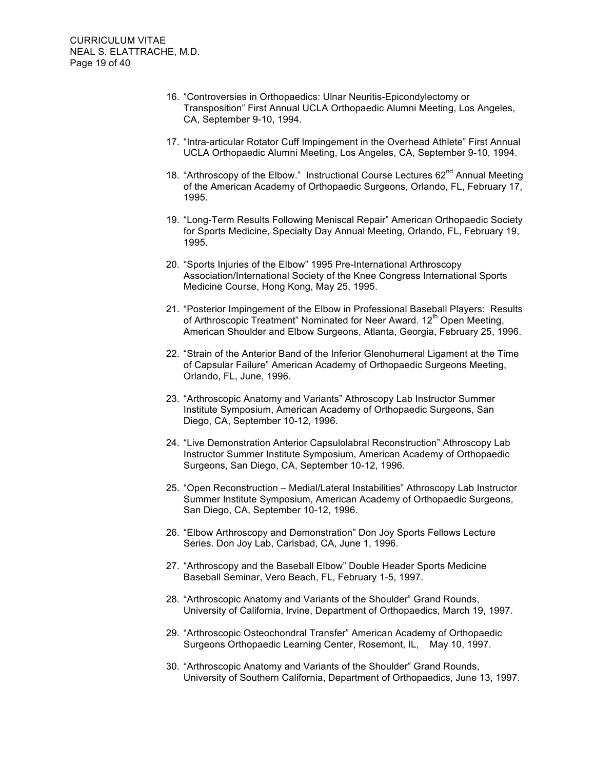- 16. "Controversies in Orthopaedics: Ulnar Neuritis-Epicondylectomy or Transposition" First Annual UCLA Orthopaedic Alumni Meeting, Los Angeles, CA, September 9-10, 1994.
- 17. "Intra-articular Rotator Cuff Impingement in the Overhead Athlete" First Annual UCLA Orthopaedic Alumni Meeting, Los Angeles, CA, September 9-10, 1994.
- 18. "Arthroscopy of the Elbow." Instructional Course Lectures 62<sup>nd</sup> Annual Meeting of the American Academy of Orthopaedic Surgeons, Orlando, FL, February 17, 1995.
- 19. "Long-Term Results Following Meniscal Repair" American Orthopaedic Society for Sports Medicine, Specialty Day Annual Meeting, Orlando, FL, February 19, 1995.
- 20. "Sports Injuries of the Elbow" 1995 Pre-International Arthroscopy Association/International Society of the Knee Congress International Sports Medicine Course, Hong Kong, May 25, 1995.
- 21. "Posterior Impingement of the Elbow in Professional Baseball Players: Results of Arthroscopic Treatment" Nominated for Neer Award. 12<sup>th</sup> Open Meeting, American Shoulder and Elbow Surgeons, Atlanta, Georgia, February 25, 1996.
- 22. "Strain of the Anterior Band of the Inferior Glenohumeral Ligament at the Time of Capsular Failure" American Academy of Orthopaedic Surgeons Meeting, Orlando, FL, June, 1996.
- 23. "Arthroscopic Anatomy and Variants" Athroscopy Lab Instructor Summer Institute Symposium, American Academy of Orthopaedic Surgeons, San Diego, CA, September 10-12, 1996.
- 24. "Live Demonstration Anterior Capsulolabral Reconstruction" Athroscopy Lab Instructor Summer Institute Symposium, American Academy of Orthopaedic Surgeons, San Diego, CA, September 10-12, 1996.
- 25. "Open Reconstruction Medial/Lateral Instabilities" Athroscopy Lab Instructor Summer Institute Symposium, American Academy of Orthopaedic Surgeons, San Diego, CA, September 10-12, 1996.
- 26. "Elbow Arthroscopy and Demonstration" Don Joy Sports Fellows Lecture Series. Don Joy Lab, Carlsbad, CA, June 1, 1996.
- 27. "Arthroscopy and the Baseball Elbow" Double Header Sports Medicine Baseball Seminar, Vero Beach, FL, February 1-5, 1997.
- 28. "Arthroscopic Anatomy and Variants of the Shoulder" Grand Rounds, University of California, Irvine, Department of Orthopaedics, March 19, 1997.
- 29. "Arthroscopic Osteochondral Transfer" American Academy of Orthopaedic Surgeons Orthopaedic Learning Center, Rosemont, IL, May 10, 1997.
- 30. "Arthroscopic Anatomy and Variants of the Shoulder" Grand Rounds, University of Southern California, Department of Orthopaedics, June 13, 1997.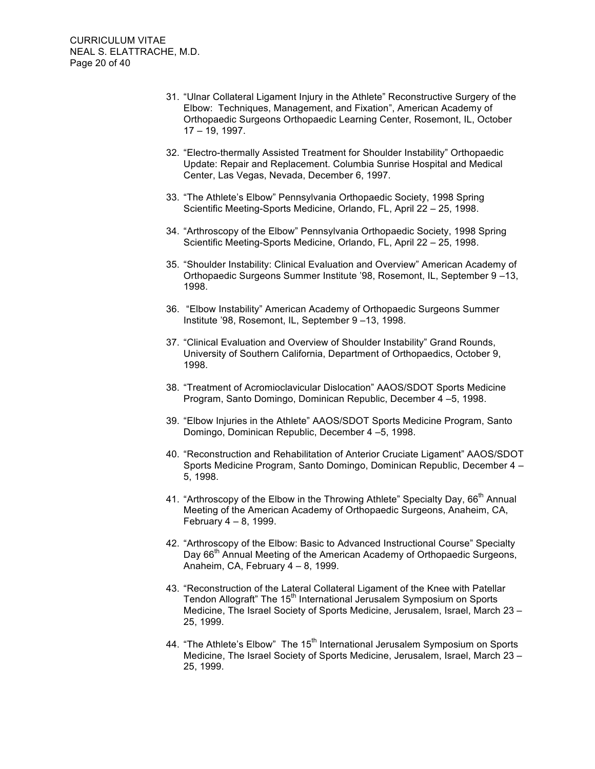- 31. "Ulnar Collateral Ligament Injury in the Athlete" Reconstructive Surgery of the Elbow: Techniques, Management, and Fixation", American Academy of Orthopaedic Surgeons Orthopaedic Learning Center, Rosemont, IL, October 17 – 19, 1997.
- 32. "Electro-thermally Assisted Treatment for Shoulder Instability" Orthopaedic Update: Repair and Replacement. Columbia Sunrise Hospital and Medical Center, Las Vegas, Nevada, December 6, 1997.
- 33. "The Athlete's Elbow" Pennsylvania Orthopaedic Society, 1998 Spring Scientific Meeting-Sports Medicine, Orlando, FL, April 22 – 25, 1998.
- 34. "Arthroscopy of the Elbow" Pennsylvania Orthopaedic Society, 1998 Spring Scientific Meeting-Sports Medicine, Orlando, FL, April 22 – 25, 1998.
- 35. "Shoulder Instability: Clinical Evaluation and Overview" American Academy of Orthopaedic Surgeons Summer Institute '98, Rosemont, IL, September 9 –13, 1998.
- 36. "Elbow Instability" American Academy of Orthopaedic Surgeons Summer Institute '98, Rosemont, IL, September 9 –13, 1998.
- 37. "Clinical Evaluation and Overview of Shoulder Instability" Grand Rounds, University of Southern California, Department of Orthopaedics, October 9, 1998.
- 38. "Treatment of Acromioclavicular Dislocation" AAOS/SDOT Sports Medicine Program, Santo Domingo, Dominican Republic, December 4 –5, 1998.
- 39. "Elbow Injuries in the Athlete" AAOS/SDOT Sports Medicine Program, Santo Domingo, Dominican Republic, December 4 –5, 1998.
- 40. "Reconstruction and Rehabilitation of Anterior Cruciate Ligament" AAOS/SDOT Sports Medicine Program, Santo Domingo, Dominican Republic, December 4 – 5, 1998.
- 41. "Arthroscopy of the Elbow in the Throwing Athlete" Specialty Day, 66<sup>th</sup> Annual Meeting of the American Academy of Orthopaedic Surgeons, Anaheim, CA, February 4 – 8, 1999.
- 42. "Arthroscopy of the Elbow: Basic to Advanced Instructional Course" Specialty Day 66<sup>th</sup> Annual Meeting of the American Academy of Orthopaedic Surgeons, Anaheim, CA, February 4 – 8, 1999.
- 43. "Reconstruction of the Lateral Collateral Ligament of the Knee with Patellar Tendon Allograft" The 15<sup>th</sup> International Jerusalem Symposium on Sports Medicine, The Israel Society of Sports Medicine, Jerusalem, Israel, March 23 – 25, 1999.
- 44. "The Athlete's Elbow" The 15<sup>th</sup> International Jerusalem Symposium on Sports Medicine, The Israel Society of Sports Medicine, Jerusalem, Israel, March 23 – 25, 1999.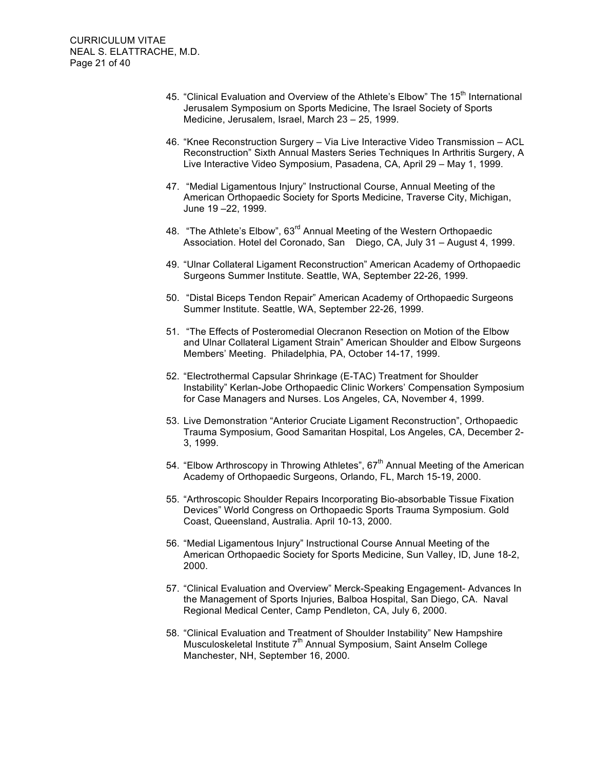- 45. "Clinical Evaluation and Overview of the Athlete's Elbow" The  $15<sup>th</sup>$  International Jerusalem Symposium on Sports Medicine, The Israel Society of Sports Medicine, Jerusalem, Israel, March 23 – 25, 1999.
- 46. "Knee Reconstruction Surgery Via Live Interactive Video Transmission ACL Reconstruction" Sixth Annual Masters Series Techniques In Arthritis Surgery, A Live Interactive Video Symposium, Pasadena, CA, April 29 – May 1, 1999.
- 47. "Medial Ligamentous Injury" Instructional Course, Annual Meeting of the American Orthopaedic Society for Sports Medicine, Traverse City, Michigan, June 19 –22, 1999.
- 48. "The Athlete's Elbow", 63<sup>rd</sup> Annual Meeting of the Western Orthopaedic Association. Hotel del Coronado, San Diego, CA, July 31 – August 4, 1999.
- 49. "Ulnar Collateral Ligament Reconstruction" American Academy of Orthopaedic Surgeons Summer Institute. Seattle, WA, September 22-26, 1999.
- 50. "Distal Biceps Tendon Repair" American Academy of Orthopaedic Surgeons Summer Institute. Seattle, WA, September 22-26, 1999.
- 51. "The Effects of Posteromedial Olecranon Resection on Motion of the Elbow and Ulnar Collateral Ligament Strain" American Shoulder and Elbow Surgeons Members' Meeting. Philadelphia, PA, October 14-17, 1999.
- 52. "Electrothermal Capsular Shrinkage (E-TAC) Treatment for Shoulder Instability" Kerlan-Jobe Orthopaedic Clinic Workers' Compensation Symposium for Case Managers and Nurses. Los Angeles, CA, November 4, 1999.
- 53. Live Demonstration "Anterior Cruciate Ligament Reconstruction", Orthopaedic Trauma Symposium, Good Samaritan Hospital, Los Angeles, CA, December 2- 3, 1999.
- 54. "Elbow Arthroscopy in Throwing Athletes",  $67<sup>th</sup>$  Annual Meeting of the American Academy of Orthopaedic Surgeons, Orlando, FL, March 15-19, 2000.
- 55. "Arthroscopic Shoulder Repairs Incorporating Bio-absorbable Tissue Fixation Devices" World Congress on Orthopaedic Sports Trauma Symposium. Gold Coast, Queensland, Australia. April 10-13, 2000.
- 56. "Medial Ligamentous Injury" Instructional Course Annual Meeting of the American Orthopaedic Society for Sports Medicine, Sun Valley, ID, June 18-2, 2000.
- 57. "Clinical Evaluation and Overview" Merck-Speaking Engagement- Advances In the Management of Sports Injuries, Balboa Hospital, San Diego, CA. Naval Regional Medical Center, Camp Pendleton, CA, July 6, 2000.
- 58. "Clinical Evaluation and Treatment of Shoulder Instability" New Hampshire Musculoskeletal Institute 7<sup>th</sup> Annual Symposium, Saint Anselm College Manchester, NH, September 16, 2000.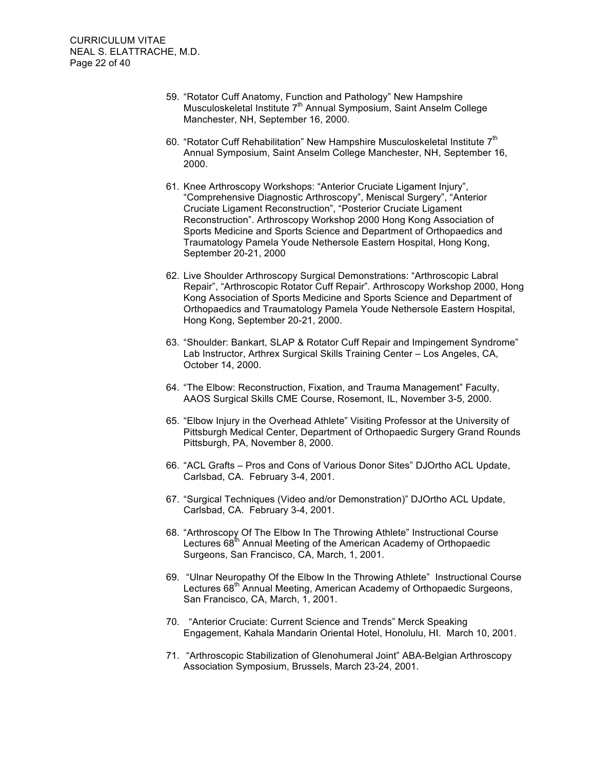- 59. "Rotator Cuff Anatomy, Function and Pathology" New Hampshire Musculoskeletal Institute  $7<sup>th</sup>$  Annual Symposium, Saint Anselm College Manchester, NH, September 16, 2000.
- 60. "Rotator Cuff Rehabilitation" New Hampshire Musculoskeletal Institute 7<sup>th</sup> Annual Symposium, Saint Anselm College Manchester, NH, September 16, 2000.
- 61. Knee Arthroscopy Workshops: "Anterior Cruciate Ligament Injury", "Comprehensive Diagnostic Arthroscopy", Meniscal Surgery", "Anterior Cruciate Ligament Reconstruction", "Posterior Cruciate Ligament Reconstruction". Arthroscopy Workshop 2000 Hong Kong Association of Sports Medicine and Sports Science and Department of Orthopaedics and Traumatology Pamela Youde Nethersole Eastern Hospital, Hong Kong, September 20-21, 2000
- 62. Live Shoulder Arthroscopy Surgical Demonstrations: "Arthroscopic Labral Repair", "Arthroscopic Rotator Cuff Repair". Arthroscopy Workshop 2000, Hong Kong Association of Sports Medicine and Sports Science and Department of Orthopaedics and Traumatology Pamela Youde Nethersole Eastern Hospital, Hong Kong, September 20-21, 2000.
- 63. "Shoulder: Bankart, SLAP & Rotator Cuff Repair and Impingement Syndrome" Lab Instructor, Arthrex Surgical Skills Training Center – Los Angeles, CA, October 14, 2000.
- 64. "The Elbow: Reconstruction, Fixation, and Trauma Management" Faculty, AAOS Surgical Skills CME Course, Rosemont, IL, November 3-5, 2000.
- 65. "Elbow Injury in the Overhead Athlete" Visiting Professor at the University of Pittsburgh Medical Center, Department of Orthopaedic Surgery Grand Rounds Pittsburgh, PA, November 8, 2000.
- 66. "ACL Grafts Pros and Cons of Various Donor Sites" DJOrtho ACL Update, Carlsbad, CA. February 3-4, 2001.
- 67. "Surgical Techniques (Video and/or Demonstration)" DJOrtho ACL Update, Carlsbad, CA. February 3-4, 2001.
- 68. "Arthroscopy Of The Elbow In The Throwing Athlete" Instructional Course Lectures 68<sup>th</sup> Annual Meeting of the American Academy of Orthopaedic Surgeons, San Francisco, CA, March, 1, 2001.
- 69. "Ulnar Neuropathy Of the Elbow In the Throwing Athlete" Instructional Course Lectures 68<sup>th</sup> Annual Meeting, American Academy of Orthopaedic Surgeons, San Francisco, CA, March, 1, 2001.
- 70. "Anterior Cruciate: Current Science and Trends" Merck Speaking Engagement, Kahala Mandarin Oriental Hotel, Honolulu, HI. March 10, 2001.
- 71. "Arthroscopic Stabilization of Glenohumeral Joint" ABA-Belgian Arthroscopy Association Symposium, Brussels, March 23-24, 2001.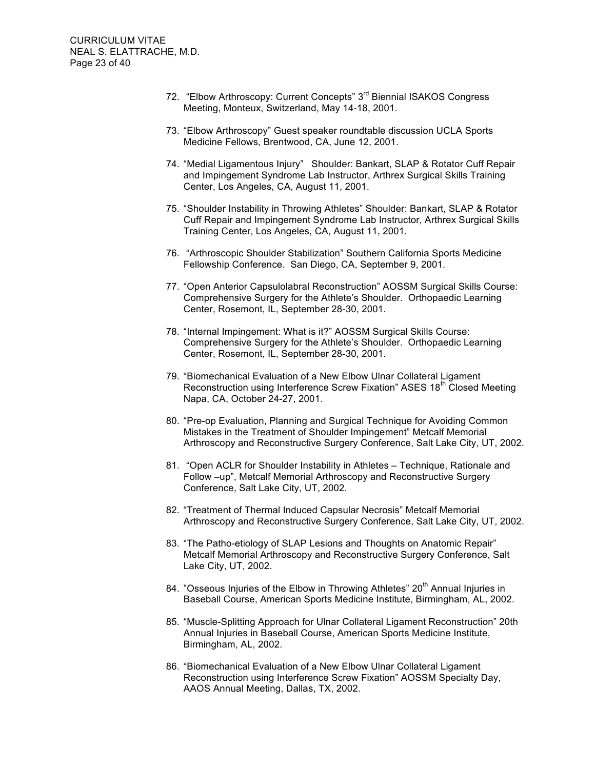- 72. "Elbow Arthroscopy: Current Concepts" 3<sup>rd</sup> Biennial ISAKOS Congress Meeting, Monteux, Switzerland, May 14-18, 2001.
- 73. "Elbow Arthroscopy" Guest speaker roundtable discussion UCLA Sports Medicine Fellows, Brentwood, CA, June 12, 2001.
- 74. "Medial Ligamentous Injury" Shoulder: Bankart, SLAP & Rotator Cuff Repair and Impingement Syndrome Lab Instructor, Arthrex Surgical Skills Training Center, Los Angeles, CA, August 11, 2001.
- 75. "Shoulder Instability in Throwing Athletes" Shoulder: Bankart, SLAP & Rotator Cuff Repair and Impingement Syndrome Lab Instructor, Arthrex Surgical Skills Training Center, Los Angeles, CA, August 11, 2001.
- 76. "Arthroscopic Shoulder Stabilization" Southern California Sports Medicine Fellowship Conference. San Diego, CA, September 9, 2001.
- 77. "Open Anterior Capsulolabral Reconstruction" AOSSM Surgical Skills Course: Comprehensive Surgery for the Athlete's Shoulder. Orthopaedic Learning Center, Rosemont, IL, September 28-30, 2001.
- 78. "Internal Impingement: What is it?" AOSSM Surgical Skills Course: Comprehensive Surgery for the Athlete's Shoulder. Orthopaedic Learning Center, Rosemont, IL, September 28-30, 2001.
- 79. "Biomechanical Evaluation of a New Elbow Ulnar Collateral Ligament Reconstruction using Interference Screw Fixation" ASES 18<sup>th</sup> Closed Meeting Napa, CA, October 24-27, 2001.
- 80. "Pre-op Evaluation, Planning and Surgical Technique for Avoiding Common Mistakes in the Treatment of Shoulder Impingement" Metcalf Memorial Arthroscopy and Reconstructive Surgery Conference, Salt Lake City, UT, 2002.
- 81. "Open ACLR for Shoulder Instability in Athletes Technique, Rationale and Follow –up", Metcalf Memorial Arthroscopy and Reconstructive Surgery Conference, Salt Lake City, UT, 2002.
- 82. "Treatment of Thermal Induced Capsular Necrosis" Metcalf Memorial Arthroscopy and Reconstructive Surgery Conference, Salt Lake City, UT, 2002.
- 83. "The Patho-etiology of SLAP Lesions and Thoughts on Anatomic Repair" Metcalf Memorial Arthroscopy and Reconstructive Surgery Conference, Salt Lake City, UT, 2002.
- 84. "Osseous Injuries of the Elbow in Throwing Athletes" 20<sup>th</sup> Annual Injuries in Baseball Course, American Sports Medicine Institute, Birmingham, AL, 2002.
- 85. "Muscle-Splitting Approach for Ulnar Collateral Ligament Reconstruction" 20th Annual Injuries in Baseball Course, American Sports Medicine Institute, Birmingham, AL, 2002.
- 86. "Biomechanical Evaluation of a New Elbow Ulnar Collateral Ligament Reconstruction using Interference Screw Fixation" AOSSM Specialty Day, AAOS Annual Meeting, Dallas, TX, 2002.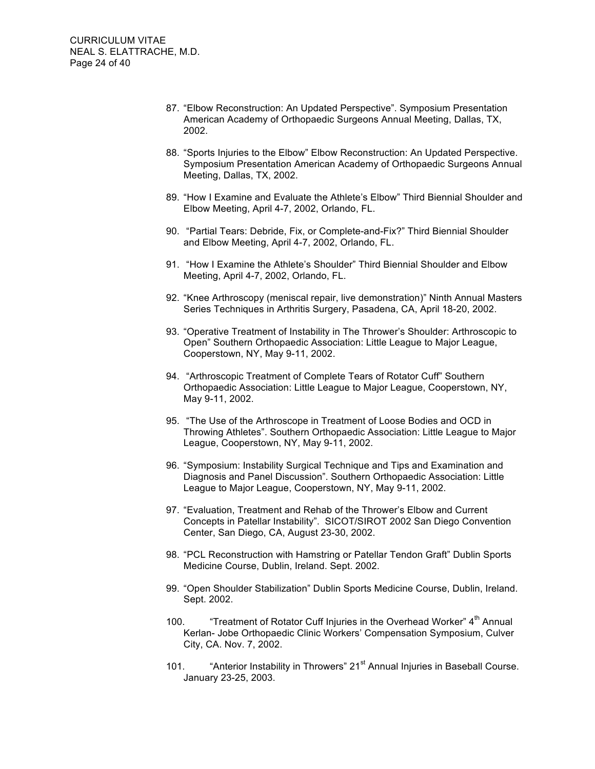- 87. "Elbow Reconstruction: An Updated Perspective". Symposium Presentation American Academy of Orthopaedic Surgeons Annual Meeting, Dallas, TX, 2002.
- 88. "Sports Injuries to the Elbow" Elbow Reconstruction: An Updated Perspective. Symposium Presentation American Academy of Orthopaedic Surgeons Annual Meeting, Dallas, TX, 2002.
- 89. "How I Examine and Evaluate the Athlete's Elbow" Third Biennial Shoulder and Elbow Meeting, April 4-7, 2002, Orlando, FL.
- 90. "Partial Tears: Debride, Fix, or Complete-and-Fix?" Third Biennial Shoulder and Elbow Meeting, April 4-7, 2002, Orlando, FL.
- 91. "How I Examine the Athlete's Shoulder" Third Biennial Shoulder and Elbow Meeting, April 4-7, 2002, Orlando, FL.
- 92. "Knee Arthroscopy (meniscal repair, live demonstration)" Ninth Annual Masters Series Techniques in Arthritis Surgery, Pasadena, CA, April 18-20, 2002.
- 93. "Operative Treatment of Instability in The Thrower's Shoulder: Arthroscopic to Open" Southern Orthopaedic Association: Little League to Major League, Cooperstown, NY, May 9-11, 2002.
- 94. "Arthroscopic Treatment of Complete Tears of Rotator Cuff" Southern Orthopaedic Association: Little League to Major League, Cooperstown, NY, May 9-11, 2002.
- 95. "The Use of the Arthroscope in Treatment of Loose Bodies and OCD in Throwing Athletes". Southern Orthopaedic Association: Little League to Major League, Cooperstown, NY, May 9-11, 2002.
- 96. "Symposium: Instability Surgical Technique and Tips and Examination and Diagnosis and Panel Discussion". Southern Orthopaedic Association: Little League to Major League, Cooperstown, NY, May 9-11, 2002.
- 97. "Evaluation, Treatment and Rehab of the Thrower's Elbow and Current Concepts in Patellar Instability". SICOT/SIROT 2002 San Diego Convention Center, San Diego, CA, August 23-30, 2002.
- 98. "PCL Reconstruction with Hamstring or Patellar Tendon Graft" Dublin Sports Medicine Course, Dublin, Ireland. Sept. 2002.
- 99. "Open Shoulder Stabilization" Dublin Sports Medicine Course, Dublin, Ireland. Sept. 2002.
- 100. "Treatment of Rotator Cuff Injuries in the Overhead Worker" 4<sup>th</sup> Annual Kerlan- Jobe Orthopaedic Clinic Workers' Compensation Symposium, Culver City, CA. Nov. 7, 2002.
- 101. "Anterior Instability in Throwers" 21<sup>st</sup> Annual Injuries in Baseball Course. January 23-25, 2003.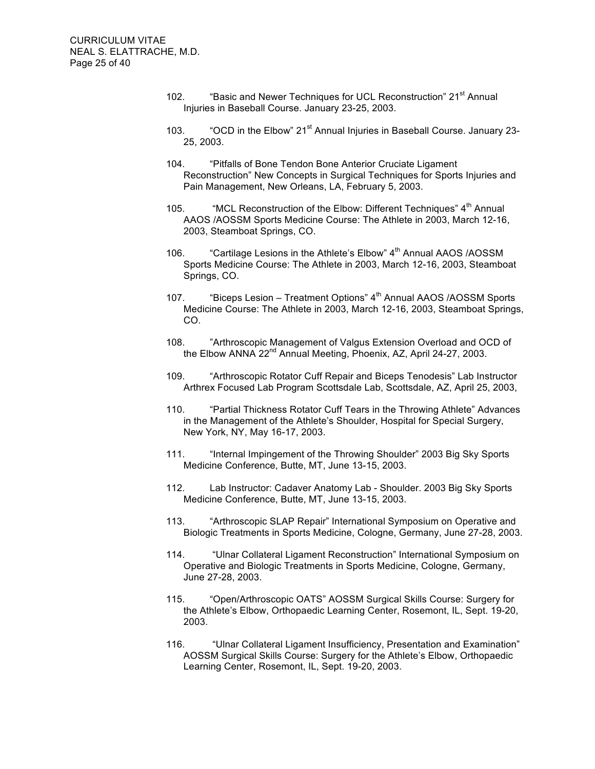- 102. "Basic and Newer Techniques for UCL Reconstruction" 21<sup>st</sup> Annual Injuries in Baseball Course. January 23-25, 2003.
- 103. "OCD in the Elbow" 21<sup>st</sup> Annual Injuries in Baseball Course. January 23-25, 2003.
- 104. "Pitfalls of Bone Tendon Bone Anterior Cruciate Ligament Reconstruction" New Concepts in Surgical Techniques for Sports Injuries and Pain Management, New Orleans, LA, February 5, 2003.
- 105. "MCL Reconstruction of the Elbow: Different Techniques" 4<sup>th</sup> Annual AAOS /AOSSM Sports Medicine Course: The Athlete in 2003, March 12-16, 2003, Steamboat Springs, CO.
- 106. "Cartilage Lesions in the Athlete's Elbow" 4<sup>th</sup> Annual AAOS /AOSSM Sports Medicine Course: The Athlete in 2003, March 12-16, 2003, Steamboat Springs, CO.
- 107. "Biceps Lesion Treatment Options" 4<sup>th</sup> Annual AAOS /AOSSM Sports Medicine Course: The Athlete in 2003, March 12-16, 2003, Steamboat Springs, CO.
- 108. "Arthroscopic Management of Valgus Extension Overload and OCD of the Elbow ANNA 22<sup>nd</sup> Annual Meeting, Phoenix, AZ, April 24-27, 2003.
- 109. "Arthroscopic Rotator Cuff Repair and Biceps Tenodesis" Lab Instructor Arthrex Focused Lab Program Scottsdale Lab, Scottsdale, AZ, April 25, 2003,
- 110. "Partial Thickness Rotator Cuff Tears in the Throwing Athlete" Advances in the Management of the Athlete's Shoulder, Hospital for Special Surgery, New York, NY, May 16-17, 2003.
- 111. "Internal Impingement of the Throwing Shoulder" 2003 Big Sky Sports Medicine Conference, Butte, MT, June 13-15, 2003.
- 112. Lab Instructor: Cadaver Anatomy Lab Shoulder. 2003 Big Sky Sports Medicine Conference, Butte, MT, June 13-15, 2003.
- 113. "Arthroscopic SLAP Repair" International Symposium on Operative and Biologic Treatments in Sports Medicine, Cologne, Germany, June 27-28, 2003.
- 114. "Ulnar Collateral Ligament Reconstruction" International Symposium on Operative and Biologic Treatments in Sports Medicine, Cologne, Germany, June 27-28, 2003.
- 115. "Open/Arthroscopic OATS" AOSSM Surgical Skills Course: Surgery for the Athlete's Elbow, Orthopaedic Learning Center, Rosemont, IL, Sept. 19-20, 2003.
- 116. "Ulnar Collateral Ligament Insufficiency, Presentation and Examination" AOSSM Surgical Skills Course: Surgery for the Athlete's Elbow, Orthopaedic Learning Center, Rosemont, IL, Sept. 19-20, 2003.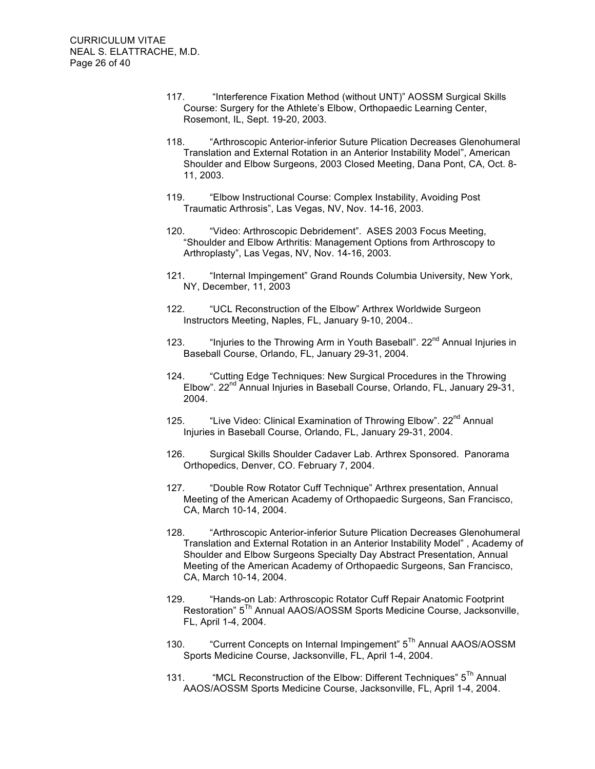- 117. "Interference Fixation Method (without UNT)" AOSSM Surgical Skills Course: Surgery for the Athlete's Elbow, Orthopaedic Learning Center, Rosemont, IL, Sept. 19-20, 2003.
- 118. "Arthroscopic Anterior-inferior Suture Plication Decreases Glenohumeral Translation and External Rotation in an Anterior Instability Model", American Shoulder and Elbow Surgeons, 2003 Closed Meeting, Dana Pont, CA, Oct. 8- 11, 2003.
- 119. "Elbow Instructional Course: Complex Instability, Avoiding Post Traumatic Arthrosis", Las Vegas, NV, Nov. 14-16, 2003.
- 120. "Video: Arthroscopic Debridement". ASES 2003 Focus Meeting, "Shoulder and Elbow Arthritis: Management Options from Arthroscopy to Arthroplasty", Las Vegas, NV, Nov. 14-16, 2003.
- 121. "Internal Impingement" Grand Rounds Columbia University, New York, NY, December, 11, 2003
- 122. "UCL Reconstruction of the Elbow" Arthrex Worldwide Surgeon Instructors Meeting, Naples, FL, January 9-10, 2004..
- 123. "Injuries to the Throwing Arm in Youth Baseball". 22<sup>nd</sup> Annual Injuries in Baseball Course, Orlando, FL, January 29-31, 2004.
- 124. "Cutting Edge Techniques: New Surgical Procedures in the Throwing Elbow". 22nd Annual Injuries in Baseball Course, Orlando, FL, January 29-31, 2004.
- 125. "Live Video: Clinical Examination of Throwing Elbow". 22<sup>nd</sup> Annual Injuries in Baseball Course, Orlando, FL, January 29-31, 2004.
- 126. Surgical Skills Shoulder Cadaver Lab. Arthrex Sponsored. Panorama Orthopedics, Denver, CO. February 7, 2004.
- 127. "Double Row Rotator Cuff Technique" Arthrex presentation, Annual Meeting of the American Academy of Orthopaedic Surgeons, San Francisco, CA, March 10-14, 2004.
- 128. "Arthroscopic Anterior-inferior Suture Plication Decreases Glenohumeral Translation and External Rotation in an Anterior Instability Model" , Academy of Shoulder and Elbow Surgeons Specialty Day Abstract Presentation, Annual Meeting of the American Academy of Orthopaedic Surgeons, San Francisco, CA, March 10-14, 2004.
- 129. "Hands-on Lab: Arthroscopic Rotator Cuff Repair Anatomic Footprint Restoration" 5<sup>Th</sup> Annual AAOS/AOSSM Sports Medicine Course, Jacksonville, FL, April 1-4, 2004.
- 130. "Current Concepts on Internal Impingement" 5<sup>Th</sup> Annual AAOS/AOSSM Sports Medicine Course, Jacksonville, FL, April 1-4, 2004.
- 131. "MCL Reconstruction of the Elbow: Different Techniques"  $5<sup>Th</sup>$  Annual AAOS/AOSSM Sports Medicine Course, Jacksonville, FL, April 1-4, 2004.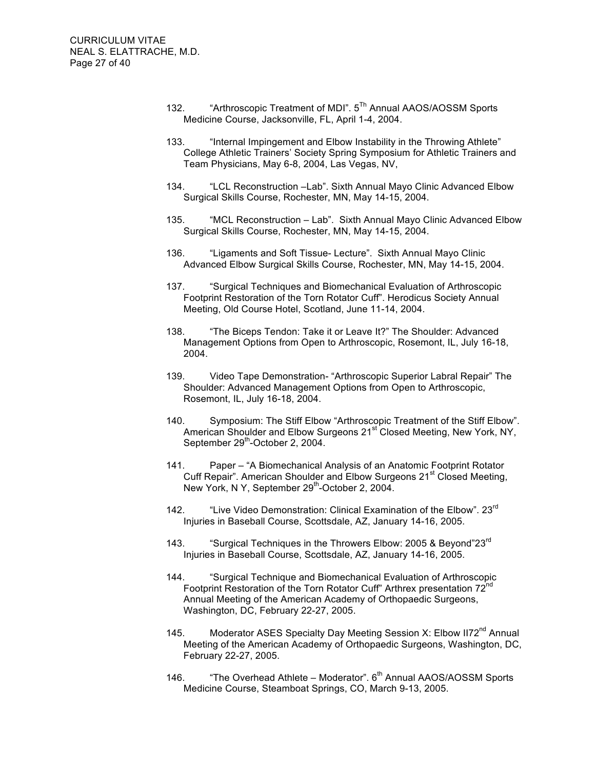- 132. "Arthroscopic Treatment of MDI". 5<sup>Th</sup> Annual AAOS/AOSSM Sports Medicine Course, Jacksonville, FL, April 1-4, 2004.
- 133. "Internal Impingement and Elbow Instability in the Throwing Athlete" College Athletic Trainers' Society Spring Symposium for Athletic Trainers and Team Physicians, May 6-8, 2004, Las Vegas, NV,
- 134. "LCL Reconstruction –Lab". Sixth Annual Mayo Clinic Advanced Elbow Surgical Skills Course, Rochester, MN, May 14-15, 2004.
- 135. "MCL Reconstruction Lab". Sixth Annual Mayo Clinic Advanced Elbow Surgical Skills Course, Rochester, MN, May 14-15, 2004.
- 136. "Ligaments and Soft Tissue- Lecture". Sixth Annual Mayo Clinic Advanced Elbow Surgical Skills Course, Rochester, MN, May 14-15, 2004.
- 137. "Surgical Techniques and Biomechanical Evaluation of Arthroscopic Footprint Restoration of the Torn Rotator Cuff". Herodicus Society Annual Meeting, Old Course Hotel, Scotland, June 11-14, 2004.
- 138. "The Biceps Tendon: Take it or Leave It?" The Shoulder: Advanced Management Options from Open to Arthroscopic, Rosemont, IL, July 16-18, 2004.
- 139. Video Tape Demonstration- "Arthroscopic Superior Labral Repair" The Shoulder: Advanced Management Options from Open to Arthroscopic, Rosemont, IL, July 16-18, 2004.
- 140. Symposium: The Stiff Elbow "Arthroscopic Treatment of the Stiff Elbow". American Shoulder and Elbow Surgeons 21<sup>st</sup> Closed Meeting, New York, NY, September 29<sup>th</sup>-October 2, 2004.
- 141. Paper "A Biomechanical Analysis of an Anatomic Footprint Rotator Cuff Repair". American Shoulder and Elbow Surgeons 21<sup>st</sup> Closed Meeting, New York, N Y, September 29<sup>th</sup>-October 2, 2004.
- 142. "Live Video Demonstration: Clinical Examination of the Elbow". 23<sup>rd</sup> Injuries in Baseball Course, Scottsdale, AZ, January 14-16, 2005.
- 143. "Surgical Techniques in the Throwers Elbow: 2005 & Bevond"23<sup>rd</sup> Injuries in Baseball Course, Scottsdale, AZ, January 14-16, 2005.
- 144. "Surgical Technique and Biomechanical Evaluation of Arthroscopic Footprint Restoration of the Torn Rotator Cuff" Arthrex presentation 72<sup>nd</sup> Annual Meeting of the American Academy of Orthopaedic Surgeons, Washington, DC, February 22-27, 2005.
- 145. Moderator ASES Specialty Day Meeting Session X: Elbow II72<sup>nd</sup> Annual Meeting of the American Academy of Orthopaedic Surgeons, Washington, DC, February 22-27, 2005.
- 146. "The Overhead Athlete Moderator". 6<sup>th</sup> Annual AAOS/AOSSM Sports Medicine Course, Steamboat Springs, CO, March 9-13, 2005.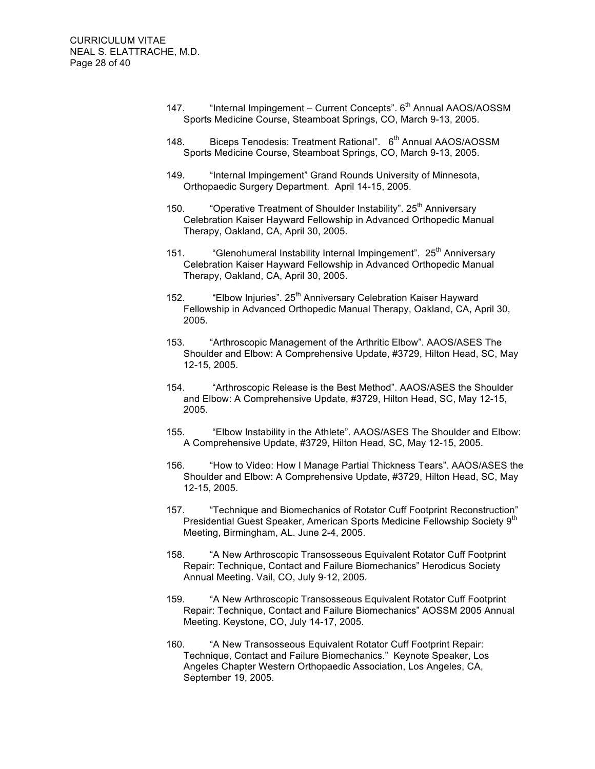- 147. "Internal Impingement Current Concepts". 6<sup>th</sup> Annual AAOS/AOSSM Sports Medicine Course, Steamboat Springs, CO, March 9-13, 2005.
- 148. Biceps Tenodesis: Treatment Rational". 6<sup>th</sup> Annual AAOS/AOSSM Sports Medicine Course, Steamboat Springs, CO, March 9-13, 2005.
- 149. "Internal Impingement" Grand Rounds University of Minnesota, Orthopaedic Surgery Department. April 14-15, 2005.
- 150. "Operative Treatment of Shoulder Instability". 25<sup>th</sup> Anniversary Celebration Kaiser Hayward Fellowship in Advanced Orthopedic Manual Therapy, Oakland, CA, April 30, 2005.
- 151. "Glenohumeral Instability Internal Impingement". 25<sup>th</sup> Anniversary Celebration Kaiser Hayward Fellowship in Advanced Orthopedic Manual Therapy, Oakland, CA, April 30, 2005.
- 152. "Elbow Injuries". 25<sup>th</sup> Anniversary Celebration Kaiser Hayward Fellowship in Advanced Orthopedic Manual Therapy, Oakland, CA, April 30, 2005.
- 153. "Arthroscopic Management of the Arthritic Elbow". AAOS/ASES The Shoulder and Elbow: A Comprehensive Update, #3729, Hilton Head, SC, May 12-15, 2005.
- 154. "Arthroscopic Release is the Best Method". AAOS/ASES the Shoulder and Elbow: A Comprehensive Update, #3729, Hilton Head, SC, May 12-15, 2005.
- 155. "Elbow Instability in the Athlete". AAOS/ASES The Shoulder and Elbow: A Comprehensive Update, #3729, Hilton Head, SC, May 12-15, 2005.
- 156. "How to Video: How I Manage Partial Thickness Tears". AAOS/ASES the Shoulder and Elbow: A Comprehensive Update, #3729, Hilton Head, SC, May 12-15, 2005.
- 157. "Technique and Biomechanics of Rotator Cuff Footprint Reconstruction" Presidential Guest Speaker, American Sports Medicine Fellowship Society 9<sup>th</sup> Meeting, Birmingham, AL. June 2-4, 2005.
- 158. "A New Arthroscopic Transosseous Equivalent Rotator Cuff Footprint Repair: Technique, Contact and Failure Biomechanics" Herodicus Society Annual Meeting. Vail, CO, July 9-12, 2005.
- 159. "A New Arthroscopic Transosseous Equivalent Rotator Cuff Footprint Repair: Technique, Contact and Failure Biomechanics" AOSSM 2005 Annual Meeting. Keystone, CO, July 14-17, 2005.
- 160. "A New Transosseous Equivalent Rotator Cuff Footprint Repair: Technique, Contact and Failure Biomechanics." Keynote Speaker, Los Angeles Chapter Western Orthopaedic Association, Los Angeles, CA, September 19, 2005.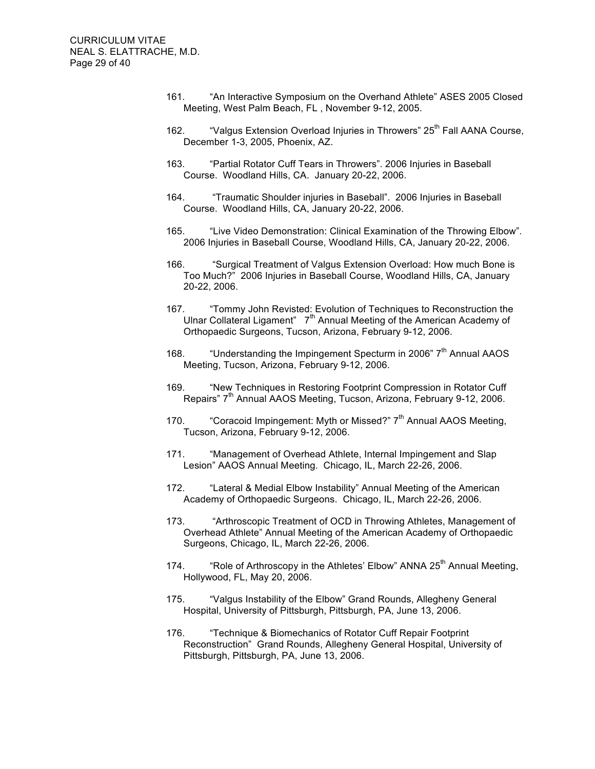- 161. "An Interactive Symposium on the Overhand Athlete" ASES 2005 Closed Meeting, West Palm Beach, FL , November 9-12, 2005.
- 162. "Valgus Extension Overload Injuries in Throwers" 25<sup>th</sup> Fall AANA Course, December 1-3, 2005, Phoenix, AZ.
- 163. "Partial Rotator Cuff Tears in Throwers". 2006 Injuries in Baseball Course. Woodland Hills, CA. January 20-22, 2006.
- 164. "Traumatic Shoulder injuries in Baseball". 2006 Injuries in Baseball Course. Woodland Hills, CA, January 20-22, 2006.
- 165. "Live Video Demonstration: Clinical Examination of the Throwing Elbow". 2006 Injuries in Baseball Course, Woodland Hills, CA, January 20-22, 2006.
- 166. "Surgical Treatment of Valgus Extension Overload: How much Bone is Too Much?" 2006 Injuries in Baseball Course, Woodland Hills, CA, January 20-22, 2006.
- 167. "Tommy John Revisted: Evolution of Techniques to Reconstruction the Ulnar Collateral Ligament"  $7<sup>th</sup>$  Annual Meeting of the American Academy of Orthopaedic Surgeons, Tucson, Arizona, February 9-12, 2006.
- 168. "Understanding the Impingement Specturm in 2006"  $7<sup>th</sup>$  Annual AAOS Meeting, Tucson, Arizona, February 9-12, 2006.
- 169. "New Techniques in Restoring Footprint Compression in Rotator Cuff Repairs" 7<sup>th</sup> Annual AAOS Meeting, Tucson, Arizona, February 9-12, 2006.
- 170. "Coracoid Impingement: Myth or Missed?" 7<sup>th</sup> Annual AAOS Meeting, Tucson, Arizona, February 9-12, 2006.
- 171. "Management of Overhead Athlete, Internal Impingement and Slap Lesion" AAOS Annual Meeting. Chicago, IL, March 22-26, 2006.
- 172. "Lateral & Medial Elbow Instability" Annual Meeting of the American Academy of Orthopaedic Surgeons. Chicago, IL, March 22-26, 2006.
- 173. "Arthroscopic Treatment of OCD in Throwing Athletes, Management of Overhead Athlete" Annual Meeting of the American Academy of Orthopaedic Surgeons, Chicago, IL, March 22-26, 2006.
- 174. "Role of Arthroscopy in the Athletes' Elbow" ANNA  $25<sup>th</sup>$  Annual Meeting, Hollywood, FL, May 20, 2006.
- 175. "Valgus Instability of the Elbow" Grand Rounds, Allegheny General Hospital, University of Pittsburgh, Pittsburgh, PA, June 13, 2006.
- 176. "Technique & Biomechanics of Rotator Cuff Repair Footprint Reconstruction" Grand Rounds, Allegheny General Hospital, University of Pittsburgh, Pittsburgh, PA, June 13, 2006.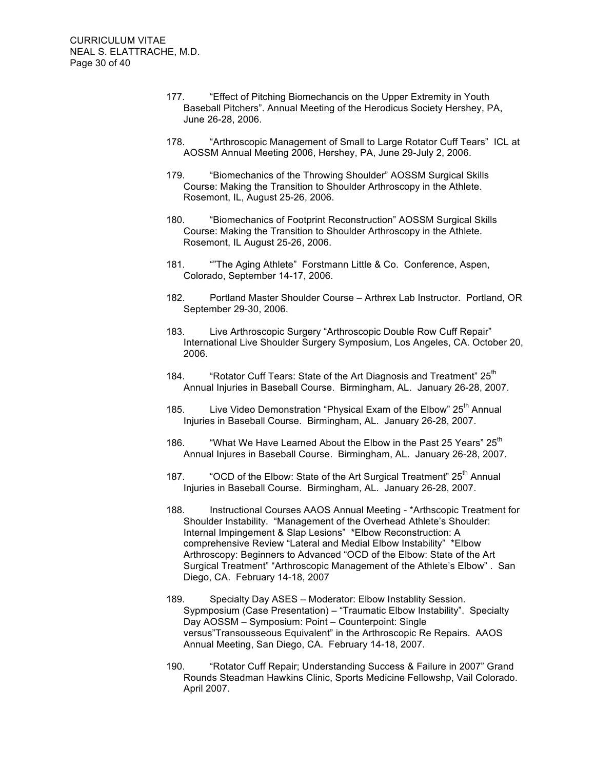- 177. "Effect of Pitching Biomechancis on the Upper Extremity in Youth Baseball Pitchers". Annual Meeting of the Herodicus Society Hershey, PA, June 26-28, 2006.
- 178. "Arthroscopic Management of Small to Large Rotator Cuff Tears" ICL at AOSSM Annual Meeting 2006, Hershey, PA, June 29-July 2, 2006.
- 179. "Biomechanics of the Throwing Shoulder" AOSSM Surgical Skills Course: Making the Transition to Shoulder Arthroscopy in the Athlete. Rosemont, IL, August 25-26, 2006.
- 180. "Biomechanics of Footprint Reconstruction" AOSSM Surgical Skills Course: Making the Transition to Shoulder Arthroscopy in the Athlete. Rosemont, IL August 25-26, 2006.
- 181. ""The Aging Athlete" Forstmann Little & Co. Conference, Aspen, Colorado, September 14-17, 2006.
- 182. Portland Master Shoulder Course Arthrex Lab Instructor. Portland, OR September 29-30, 2006.
- 183. Live Arthroscopic Surgery "Arthroscopic Double Row Cuff Repair" International Live Shoulder Surgery Symposium, Los Angeles, CA. October 20, 2006.
- 184. "Rotator Cuff Tears: State of the Art Diagnosis and Treatment" 25<sup>th</sup> Annual Injuries in Baseball Course. Birmingham, AL. January 26-28, 2007.
- 185. Live Video Demonstration "Physical Exam of the Elbow" 25<sup>th</sup> Annual Injuries in Baseball Course. Birmingham, AL. January 26-28, 2007.
- 186. "What We Have Learned About the Elbow in the Past 25 Years"  $25<sup>th</sup>$ Annual Injures in Baseball Course. Birmingham, AL. January 26-28, 2007.
- 187. "OCD of the Elbow: State of the Art Surgical Treatment" 25<sup>th</sup> Annual Injuries in Baseball Course. Birmingham, AL. January 26-28, 2007.
- 188. Instructional Courses AAOS Annual Meeting \*Arthscopic Treatment for Shoulder Instability. "Management of the Overhead Athlete's Shoulder: Internal Impingement & Slap Lesions" \*Elbow Reconstruction: A comprehensive Review "Lateral and Medial Elbow Instability" \*Elbow Arthroscopy: Beginners to Advanced "OCD of the Elbow: State of the Art Surgical Treatment" "Arthroscopic Management of the Athlete's Elbow" . San Diego, CA. February 14-18, 2007
- 189. Specialty Day ASES Moderator: Elbow Instablity Session. Sypmposium (Case Presentation) – "Traumatic Elbow Instability". Specialty Day AOSSM – Symposium: Point – Counterpoint: Single versus"Transousseous Equivalent" in the Arthroscopic Re Repairs. AAOS Annual Meeting, San Diego, CA. February 14-18, 2007.
- 190. "Rotator Cuff Repair; Understanding Success & Failure in 2007" Grand Rounds Steadman Hawkins Clinic, Sports Medicine Fellowshp, Vail Colorado. April 2007.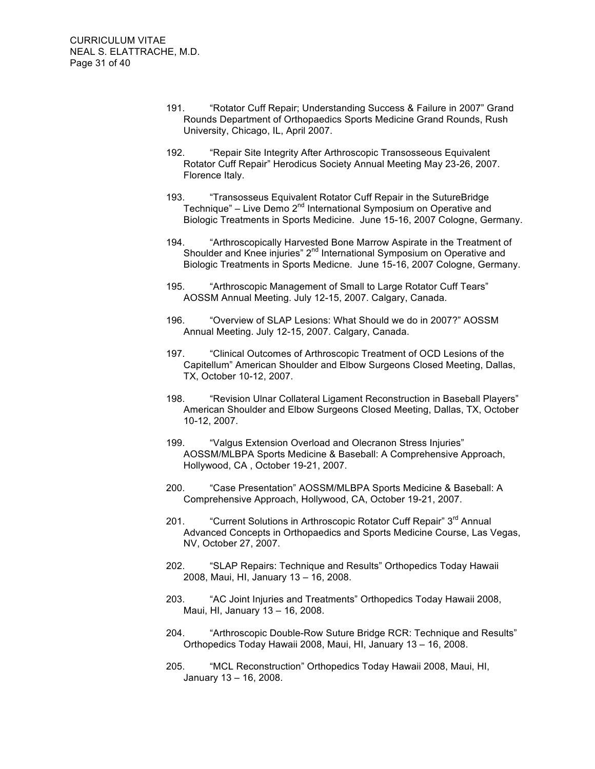- 191. "Rotator Cuff Repair; Understanding Success & Failure in 2007" Grand Rounds Department of Orthopaedics Sports Medicine Grand Rounds, Rush University, Chicago, IL, April 2007.
- 192. "Repair Site Integrity After Arthroscopic Transosseous Equivalent Rotator Cuff Repair" Herodicus Society Annual Meeting May 23-26, 2007. Florence Italy.
- 193. "Transosseus Equivalent Rotator Cuff Repair in the SutureBridge Technique" – Live Demo  $2<sup>nd</sup>$  International Symposium on Operative and Biologic Treatments in Sports Medicine. June 15-16, 2007 Cologne, Germany.
- 194. "Arthroscopically Harvested Bone Marrow Aspirate in the Treatment of Shoulder and Knee injuries" 2<sup>nd</sup> International Symposium on Operative and Biologic Treatments in Sports Medicne. June 15-16, 2007 Cologne, Germany.
- 195. "Arthroscopic Management of Small to Large Rotator Cuff Tears" AOSSM Annual Meeting. July 12-15, 2007. Calgary, Canada.
- 196. "Overview of SLAP Lesions: What Should we do in 2007?" AOSSM Annual Meeting. July 12-15, 2007. Calgary, Canada.
- 197. "Clinical Outcomes of Arthroscopic Treatment of OCD Lesions of the Capitellum" American Shoulder and Elbow Surgeons Closed Meeting, Dallas, TX, October 10-12, 2007.
- 198. "Revision Ulnar Collateral Ligament Reconstruction in Baseball Players" American Shoulder and Elbow Surgeons Closed Meeting, Dallas, TX, October 10-12, 2007.
- 199. "Valgus Extension Overload and Olecranon Stress Injuries" AOSSM/MLBPA Sports Medicine & Baseball: A Comprehensive Approach, Hollywood, CA , October 19-21, 2007.
- 200. "Case Presentation" AOSSM/MLBPA Sports Medicine & Baseball: A Comprehensive Approach, Hollywood, CA, October 19-21, 2007.
- 201. "Current Solutions in Arthroscopic Rotator Cuff Repair" 3<sup>rd</sup> Annual Advanced Concepts in Orthopaedics and Sports Medicine Course, Las Vegas, NV, October 27, 2007.
- 202. "SLAP Repairs: Technique and Results" Orthopedics Today Hawaii 2008, Maui, HI, January 13 – 16, 2008.
- 203. "AC Joint Injuries and Treatments" Orthopedics Today Hawaii 2008, Maui, HI, January 13 – 16, 2008.
- 204. "Arthroscopic Double-Row Suture Bridge RCR: Technique and Results" Orthopedics Today Hawaii 2008, Maui, HI, January 13 – 16, 2008.
- 205. "MCL Reconstruction" Orthopedics Today Hawaii 2008, Maui, HI, January 13 – 16, 2008.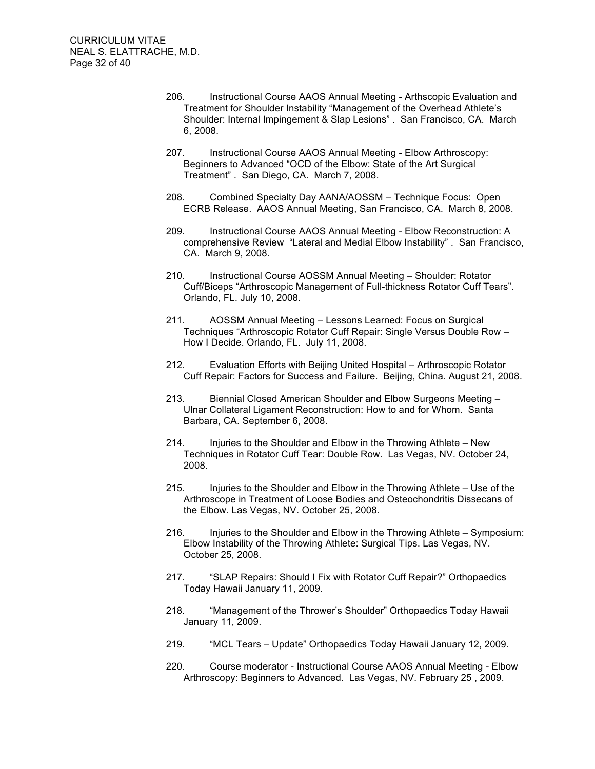- 206. Instructional Course AAOS Annual Meeting Arthscopic Evaluation and Treatment for Shoulder Instability "Management of the Overhead Athlete's Shoulder: Internal Impingement & Slap Lesions" . San Francisco, CA. March 6, 2008.
- 207. Instructional Course AAOS Annual Meeting Elbow Arthroscopy: Beginners to Advanced "OCD of the Elbow: State of the Art Surgical Treatment" . San Diego, CA. March 7, 2008.
- 208. Combined Specialty Day AANA/AOSSM Technique Focus: Open ECRB Release. AAOS Annual Meeting, San Francisco, CA. March 8, 2008.
- 209. Instructional Course AAOS Annual Meeting Elbow Reconstruction: A comprehensive Review "Lateral and Medial Elbow Instability" . San Francisco, CA. March 9, 2008.
- 210. Instructional Course AOSSM Annual Meeting Shoulder: Rotator Cuff/Biceps "Arthroscopic Management of Full-thickness Rotator Cuff Tears". Orlando, FL. July 10, 2008.
- 211. AOSSM Annual Meeting Lessons Learned: Focus on Surgical Techniques "Arthroscopic Rotator Cuff Repair: Single Versus Double Row – How I Decide. Orlando, FL. July 11, 2008.
- 212. Evaluation Efforts with Beijing United Hospital Arthroscopic Rotator Cuff Repair: Factors for Success and Failure. Beijing, China. August 21, 2008.
- 213. Biennial Closed American Shoulder and Elbow Surgeons Meeting Ulnar Collateral Ligament Reconstruction: How to and for Whom. Santa Barbara, CA. September 6, 2008.
- 214. Injuries to the Shoulder and Elbow in the Throwing Athlete New Techniques in Rotator Cuff Tear: Double Row. Las Vegas, NV. October 24, 2008.
- 215. Injuries to the Shoulder and Elbow in the Throwing Athlete Use of the Arthroscope in Treatment of Loose Bodies and Osteochondritis Dissecans of the Elbow. Las Vegas, NV. October 25, 2008.
- 216. Injuries to the Shoulder and Elbow in the Throwing Athlete Symposium: Elbow Instability of the Throwing Athlete: Surgical Tips. Las Vegas, NV. October 25, 2008.
- 217. "SLAP Repairs: Should I Fix with Rotator Cuff Repair?" Orthopaedics Today Hawaii January 11, 2009.
- 218. "Management of the Thrower's Shoulder" Orthopaedics Today Hawaii January 11, 2009.
- 219. "MCL Tears Update" Orthopaedics Today Hawaii January 12, 2009.
- 220. Course moderator Instructional Course AAOS Annual Meeting Elbow Arthroscopy: Beginners to Advanced. Las Vegas, NV. February 25 , 2009.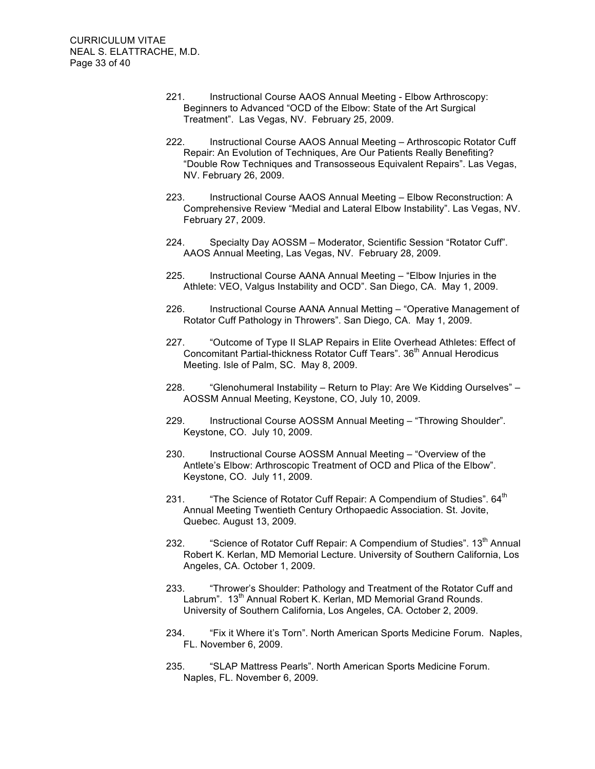- 221. Instructional Course AAOS Annual Meeting Elbow Arthroscopy: Beginners to Advanced "OCD of the Elbow: State of the Art Surgical Treatment". Las Vegas, NV. February 25, 2009.
- 222. Instructional Course AAOS Annual Meeting Arthroscopic Rotator Cuff Repair: An Evolution of Techniques, Are Our Patients Really Benefiting? "Double Row Techniques and Transosseous Equivalent Repairs". Las Vegas, NV. February 26, 2009.
- 223. Instructional Course AAOS Annual Meeting Elbow Reconstruction: A Comprehensive Review "Medial and Lateral Elbow Instability". Las Vegas, NV. February 27, 2009.
- 224. Specialty Day AOSSM Moderator, Scientific Session "Rotator Cuff". AAOS Annual Meeting, Las Vegas, NV. February 28, 2009.
- 225. Instructional Course AANA Annual Meeting "Elbow Injuries in the Athlete: VEO, Valgus Instability and OCD". San Diego, CA. May 1, 2009.
- 226. Instructional Course AANA Annual Metting "Operative Management of Rotator Cuff Pathology in Throwers". San Diego, CA. May 1, 2009.
- 227. "Outcome of Type II SLAP Repairs in Elite Overhead Athletes: Effect of Concomitant Partial-thickness Rotator Cuff Tears". 36<sup>th</sup> Annual Herodicus Meeting. Isle of Palm, SC. May 8, 2009.
- 228. "Glenohumeral Instability Return to Play: Are We Kidding Ourselves" AOSSM Annual Meeting, Keystone, CO, July 10, 2009.
- 229. Instructional Course AOSSM Annual Meeting "Throwing Shoulder". Keystone, CO. July 10, 2009.
- 230. Instructional Course AOSSM Annual Meeting "Overview of the Antlete's Elbow: Arthroscopic Treatment of OCD and Plica of the Elbow". Keystone, CO. July 11, 2009.
- 231.  $\blacksquare$  The Science of Rotator Cuff Repair: A Compendium of Studies".  $64<sup>th</sup>$ Annual Meeting Twentieth Century Orthopaedic Association. St. Jovite, Quebec. August 13, 2009.
- 232. "Science of Rotator Cuff Repair: A Compendium of Studies". 13<sup>th</sup> Annual Robert K. Kerlan, MD Memorial Lecture. University of Southern California, Los Angeles, CA. October 1, 2009.
- 233. "Thrower's Shoulder: Pathology and Treatment of the Rotator Cuff and Labrum". 13<sup>th</sup> Annual Robert K. Kerlan, MD Memorial Grand Rounds. University of Southern California, Los Angeles, CA. October 2, 2009.
- 234. "Fix it Where it's Torn". North American Sports Medicine Forum. Naples, FL. November 6, 2009.
- 235. "SLAP Mattress Pearls". North American Sports Medicine Forum. Naples, FL. November 6, 2009.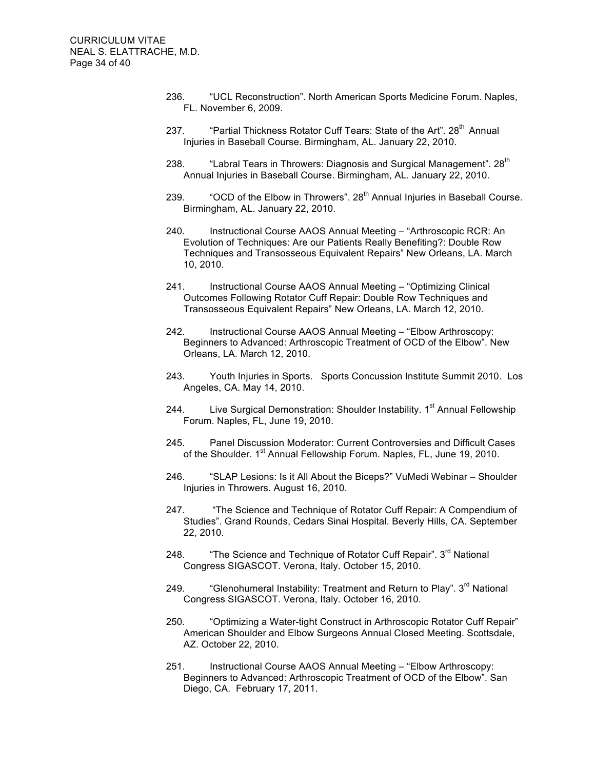- 236. "UCL Reconstruction". North American Sports Medicine Forum. Naples, FL. November 6, 2009.
- 237. "Partial Thickness Rotator Cuff Tears: State of the Art", 28<sup>th</sup> Annual Injuries in Baseball Course. Birmingham, AL. January 22, 2010.
- 238. "Labral Tears in Throwers: Diagnosis and Surgical Management". 28<sup>th</sup> Annual Injuries in Baseball Course. Birmingham, AL. January 22, 2010.
- 239. "OCD of the Elbow in Throwers".  $28<sup>th</sup>$  Annual Injuries in Baseball Course. Birmingham, AL. January 22, 2010.
- 240. Instructional Course AAOS Annual Meeting "Arthroscopic RCR: An Evolution of Techniques: Are our Patients Really Benefiting?: Double Row Techniques and Transosseous Equivalent Repairs" New Orleans, LA. March 10, 2010.
- 241. Instructional Course AAOS Annual Meeting "Optimizing Clinical Outcomes Following Rotator Cuff Repair: Double Row Techniques and Transosseous Equivalent Repairs" New Orleans, LA. March 12, 2010.
- 242. Instructional Course AAOS Annual Meeting "Elbow Arthroscopy: Beginners to Advanced: Arthroscopic Treatment of OCD of the Elbow". New Orleans, LA. March 12, 2010.
- 243. Youth Injuries in Sports. Sports Concussion Institute Summit 2010. Los Angeles, CA. May 14, 2010.
- 244. Live Surgical Demonstration: Shoulder Instability. 1<sup>st</sup> Annual Fellowship Forum. Naples, FL, June 19, 2010.
- 245. Panel Discussion Moderator: Current Controversies and Difficult Cases of the Shoulder. 1<sup>st</sup> Annual Fellowship Forum. Naples, FL, June 19, 2010.
- 246. "SLAP Lesions: Is it All About the Biceps?" VuMedi Webinar Shoulder Injuries in Throwers. August 16, 2010.
- 247. "The Science and Technique of Rotator Cuff Repair: A Compendium of Studies". Grand Rounds, Cedars Sinai Hospital. Beverly Hills, CA. September 22, 2010.
- 248. "The Science and Technique of Rotator Cuff Repair". 3<sup>rd</sup> National Congress SIGASCOT. Verona, Italy. October 15, 2010.
- 249. "Glenohumeral Instability: Treatment and Return to Play". 3<sup>rd</sup> National Congress SIGASCOT. Verona, Italy. October 16, 2010.
- 250. "Optimizing a Water-tight Construct in Arthroscopic Rotator Cuff Repair" American Shoulder and Elbow Surgeons Annual Closed Meeting. Scottsdale, AZ. October 22, 2010.
- 251. Instructional Course AAOS Annual Meeting "Elbow Arthroscopy: Beginners to Advanced: Arthroscopic Treatment of OCD of the Elbow". San Diego, CA. February 17, 2011.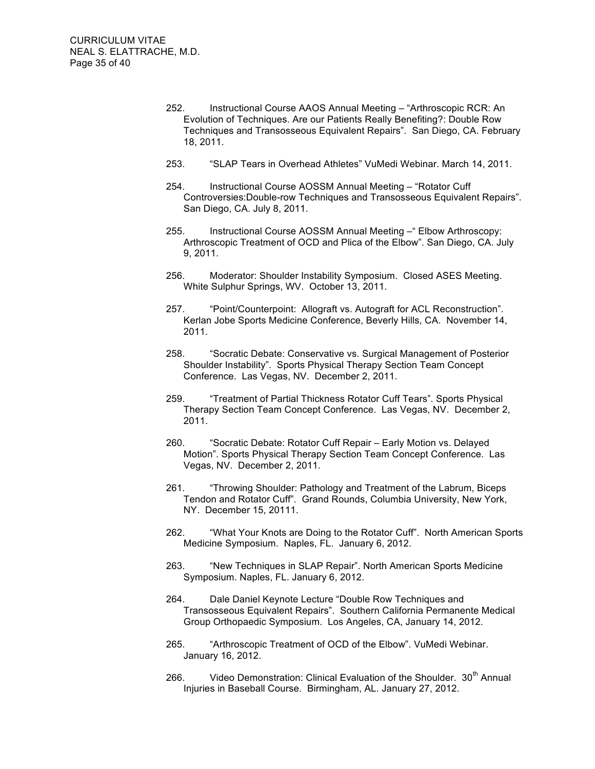- 252. Instructional Course AAOS Annual Meeting "Arthroscopic RCR: An Evolution of Techniques. Are our Patients Really Benefiting?: Double Row Techniques and Transosseous Equivalent Repairs". San Diego, CA. February 18, 2011.
- 253. "SLAP Tears in Overhead Athletes" VuMedi Webinar. March 14, 2011.
- 254. Instructional Course AOSSM Annual Meeting "Rotator Cuff Controversies:Double-row Techniques and Transosseous Equivalent Repairs". San Diego, CA. July 8, 2011.
- 255. Instructional Course AOSSM Annual Meeting –" Elbow Arthroscopy: Arthroscopic Treatment of OCD and Plica of the Elbow". San Diego, CA. July 9, 2011.
- 256. Moderator: Shoulder Instability Symposium. Closed ASES Meeting. White Sulphur Springs, WV. October 13, 2011.
- 257. "Point/Counterpoint: Allograft vs. Autograft for ACL Reconstruction". Kerlan Jobe Sports Medicine Conference, Beverly Hills, CA. November 14, 2011.
- 258. "Socratic Debate: Conservative vs. Surgical Management of Posterior Shoulder Instability". Sports Physical Therapy Section Team Concept Conference. Las Vegas, NV. December 2, 2011.
- 259. "Treatment of Partial Thickness Rotator Cuff Tears". Sports Physical Therapy Section Team Concept Conference. Las Vegas, NV. December 2, 2011.
- 260. "Socratic Debate: Rotator Cuff Repair Early Motion vs. Delayed Motion". Sports Physical Therapy Section Team Concept Conference. Las Vegas, NV. December 2, 2011.
- 261. "Throwing Shoulder: Pathology and Treatment of the Labrum, Biceps Tendon and Rotator Cuff". Grand Rounds, Columbia University, New York, NY. December 15, 20111.
- 262. "What Your Knots are Doing to the Rotator Cuff". North American Sports Medicine Symposium. Naples, FL. January 6, 2012.
- 263. "New Techniques in SLAP Repair". North American Sports Medicine Symposium. Naples, FL. January 6, 2012.
- 264. Dale Daniel Keynote Lecture "Double Row Techniques and Transosseous Equivalent Repairs". Southern California Permanente Medical Group Orthopaedic Symposium. Los Angeles, CA, January 14, 2012.
- 265. "Arthroscopic Treatment of OCD of the Elbow". VuMedi Webinar. January 16, 2012.
- 266. Video Demonstration: Clinical Evaluation of the Shoulder. 30<sup>th</sup> Annual Injuries in Baseball Course. Birmingham, AL. January 27, 2012.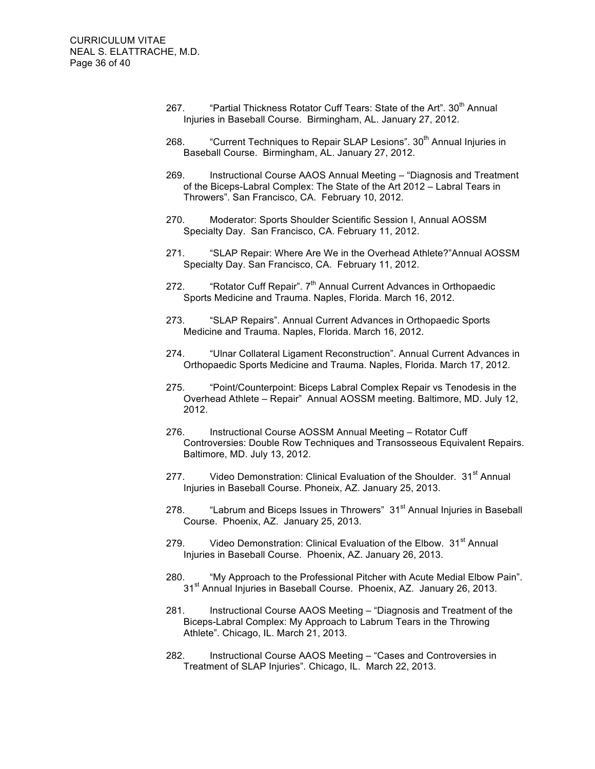- 267. "Partial Thickness Rotator Cuff Tears: State of the Art". 30<sup>th</sup> Annual Injuries in Baseball Course. Birmingham, AL. January 27, 2012.
- 268. "Current Techniques to Repair SLAP Lesions". 30<sup>th</sup> Annual Injuries in Baseball Course. Birmingham, AL. January 27, 2012.
- 269. Instructional Course AAOS Annual Meeting "Diagnosis and Treatment of the Biceps-Labral Complex: The State of the Art 2012 – Labral Tears in Throwers". San Francisco, CA. February 10, 2012.
- 270. Moderator: Sports Shoulder Scientific Session I, Annual AOSSM Specialty Day. San Francisco, CA. February 11, 2012.
- 271. "SLAP Repair: Where Are We in the Overhead Athlete?"Annual AOSSM Specialty Day. San Francisco, CA. February 11, 2012.
- 272. "Rotator Cuff Repair".  $7<sup>th</sup>$  Annual Current Advances in Orthopaedic Sports Medicine and Trauma. Naples, Florida. March 16, 2012.
- 273. "SLAP Repairs". Annual Current Advances in Orthopaedic Sports Medicine and Trauma. Naples, Florida. March 16, 2012.
- 274. "Ulnar Collateral Ligament Reconstruction". Annual Current Advances in Orthopaedic Sports Medicine and Trauma. Naples, Florida. March 17, 2012.
- 275. "Point/Counterpoint: Biceps Labral Complex Repair vs Tenodesis in the Overhead Athlete – Repair" Annual AOSSM meeting. Baltimore, MD. July 12, 2012.
- 276. Instructional Course AOSSM Annual Meeting Rotator Cuff Controversies: Double Row Techniques and Transosseous Equivalent Repairs. Baltimore, MD. July 13, 2012.
- 277. Video Demonstration: Clinical Evaluation of the Shoulder. 31<sup>st</sup> Annual Injuries in Baseball Course. Phoneix, AZ. January 25, 2013.
- 278. 
Labrum and Biceps Issues in Throwers" 31<sup>st</sup> Annual Injuries in Baseball Course. Phoenix, AZ. January 25, 2013.
- 279. Video Demonstration: Clinical Evaluation of the Elbow. 31<sup>st</sup> Annual Injuries in Baseball Course. Phoenix, AZ. January 26, 2013.
- 280. "My Approach to the Professional Pitcher with Acute Medial Elbow Pain". 31<sup>st</sup> Annual Injuries in Baseball Course. Phoenix, AZ. January 26, 2013.
- 281. Instructional Course AAOS Meeting "Diagnosis and Treatment of the Biceps-Labral Complex: My Approach to Labrum Tears in the Throwing Athlete". Chicago, IL. March 21, 2013.
- 282. Instructional Course AAOS Meeting "Cases and Controversies in Treatment of SLAP Injuries". Chicago, IL. March 22, 2013.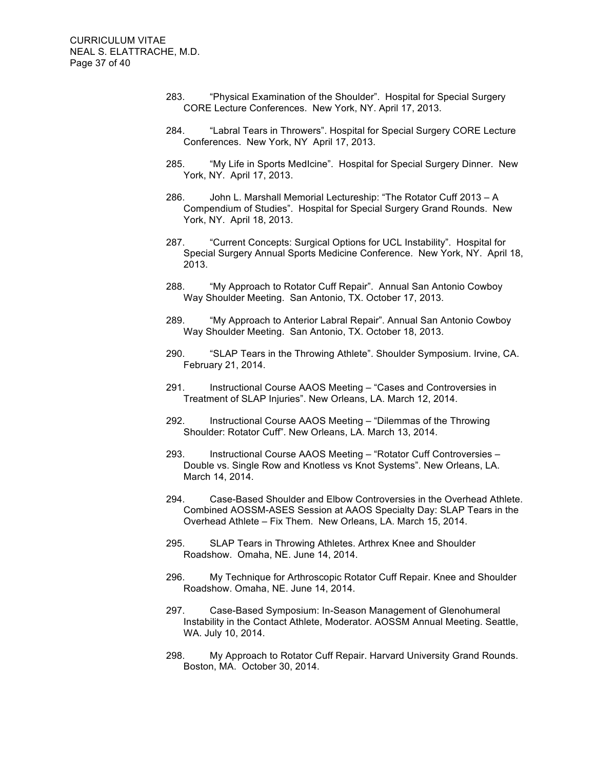- 283. "Physical Examination of the Shoulder". Hospital for Special Surgery CORE Lecture Conferences. New York, NY. April 17, 2013.
- 284. "Labral Tears in Throwers". Hospital for Special Surgery CORE Lecture Conferences. New York, NY April 17, 2013.
- 285. "My Life in Sports MedIcine". Hospital for Special Surgery Dinner. New York, NY. April 17, 2013.
- 286. John L. Marshall Memorial Lectureship: "The Rotator Cuff 2013 A Compendium of Studies". Hospital for Special Surgery Grand Rounds. New York, NY. April 18, 2013.
- 287. "Current Concepts: Surgical Options for UCL Instability". Hospital for Special Surgery Annual Sports Medicine Conference. New York, NY. April 18, 2013.
- 288. "My Approach to Rotator Cuff Repair". Annual San Antonio Cowboy Way Shoulder Meeting. San Antonio, TX. October 17, 2013.
- 289. "My Approach to Anterior Labral Repair". Annual San Antonio Cowboy Way Shoulder Meeting. San Antonio, TX. October 18, 2013.
- 290. "SLAP Tears in the Throwing Athlete". Shoulder Symposium. Irvine, CA. February 21, 2014.
- 291. Instructional Course AAOS Meeting "Cases and Controversies in Treatment of SLAP Injuries". New Orleans, LA. March 12, 2014.
- 292. Instructional Course AAOS Meeting "Dilemmas of the Throwing Shoulder: Rotator Cuff". New Orleans, LA. March 13, 2014.
- 293. Instructional Course AAOS Meeting "Rotator Cuff Controversies Double vs. Single Row and Knotless vs Knot Systems". New Orleans, LA. March 14, 2014.
- 294. Case-Based Shoulder and Elbow Controversies in the Overhead Athlete. Combined AOSSM-ASES Session at AAOS Specialty Day: SLAP Tears in the Overhead Athlete – Fix Them. New Orleans, LA. March 15, 2014.
- 295. SLAP Tears in Throwing Athletes. Arthrex Knee and Shoulder Roadshow. Omaha, NE. June 14, 2014.
- 296. My Technique for Arthroscopic Rotator Cuff Repair. Knee and Shoulder Roadshow. Omaha, NE. June 14, 2014.
- 297. Case-Based Symposium: In-Season Management of Glenohumeral Instability in the Contact Athlete, Moderator. AOSSM Annual Meeting. Seattle, WA. July 10, 2014.
- 298. My Approach to Rotator Cuff Repair. Harvard University Grand Rounds. Boston, MA. October 30, 2014.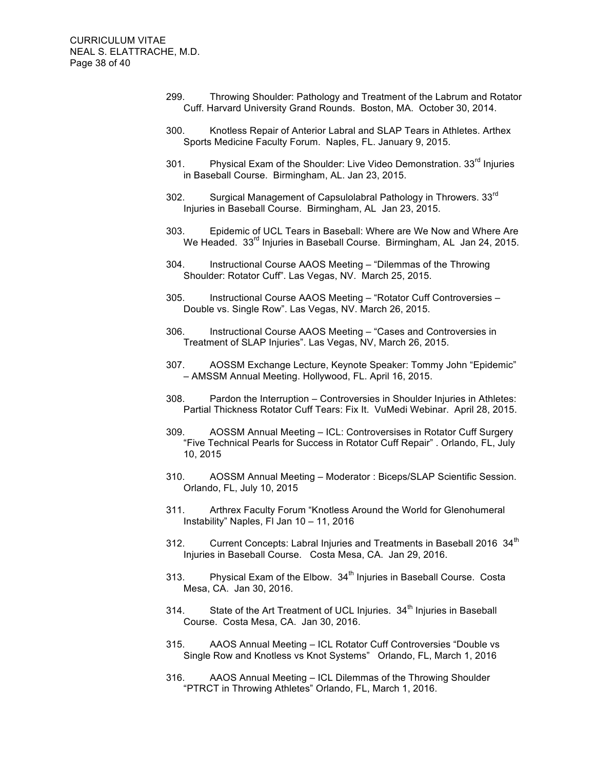- 299. Throwing Shoulder: Pathology and Treatment of the Labrum and Rotator Cuff. Harvard University Grand Rounds. Boston, MA. October 30, 2014.
- 300. Knotless Repair of Anterior Labral and SLAP Tears in Athletes. Arthex Sports Medicine Faculty Forum. Naples, FL. January 9, 2015.
- 301. Physical Exam of the Shoulder: Live Video Demonstration. 33<sup>rd</sup> Injuries in Baseball Course. Birmingham, AL. Jan 23, 2015.
- 302. Surgical Management of Capsulolabral Pathology in Throwers. 33<sup>rd</sup> Injuries in Baseball Course. Birmingham, AL Jan 23, 2015.
- 303. Epidemic of UCL Tears in Baseball: Where are We Now and Where Are We Headed. 33<sup>rd</sup> Injuries in Baseball Course. Birmingham, AL Jan 24, 2015.
- 304. Instructional Course AAOS Meeting "Dilemmas of the Throwing Shoulder: Rotator Cuff". Las Vegas, NV. March 25, 2015.
- 305. Instructional Course AAOS Meeting "Rotator Cuff Controversies Double vs. Single Row". Las Vegas, NV. March 26, 2015.
- 306. Instructional Course AAOS Meeting "Cases and Controversies in Treatment of SLAP Injuries". Las Vegas, NV, March 26, 2015.
- 307. AOSSM Exchange Lecture, Keynote Speaker: Tommy John "Epidemic" – AMSSM Annual Meeting. Hollywood, FL. April 16, 2015.
- 308. Pardon the Interruption Controversies in Shoulder Injuries in Athletes: Partial Thickness Rotator Cuff Tears: Fix It. VuMedi Webinar. April 28, 2015.
- 309. AOSSM Annual Meeting ICL: Controversises in Rotator Cuff Surgery "Five Technical Pearls for Success in Rotator Cuff Repair" . Orlando, FL, July 10, 2015
- 310. AOSSM Annual Meeting Moderator : Biceps/SLAP Scientific Session. Orlando, FL, July 10, 2015
- 311. Arthrex Faculty Forum "Knotless Around the World for Glenohumeral Instability" Naples, Fl Jan 10 – 11, 2016
- 312. Current Concepts: Labral Injuries and Treatments in Baseball 2016  $34<sup>th</sup>$ Injuries in Baseball Course. Costa Mesa, CA. Jan 29, 2016.
- 313. Physical Exam of the Elbow. 34<sup>th</sup> Injuries in Baseball Course. Costa Mesa, CA. Jan 30, 2016.
- 314. State of the Art Treatment of UCL Injuries.  $34<sup>th</sup>$  Injuries in Baseball Course. Costa Mesa, CA. Jan 30, 2016.
- 315. AAOS Annual Meeting ICL Rotator Cuff Controversies "Double vs Single Row and Knotless vs Knot Systems" Orlando, FL, March 1, 2016
- 316. AAOS Annual Meeting ICL Dilemmas of the Throwing Shoulder "PTRCT in Throwing Athletes" Orlando, FL, March 1, 2016.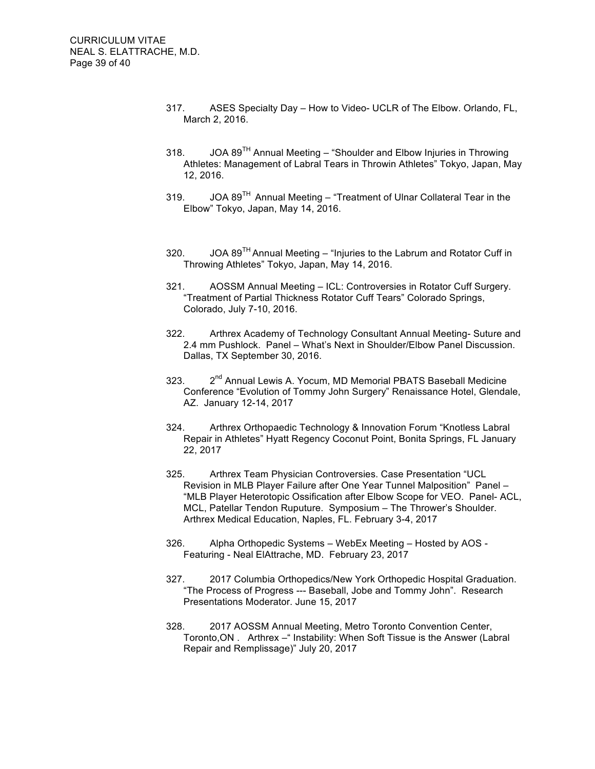- 317. ASES Specialty Day How to Video- UCLR of The Elbow. Orlando, FL, March 2, 2016.
- 318. JOA  $89^{TH}$  Annual Meeting "Shoulder and Elbow Injuries in Throwing Athletes: Management of Labral Tears in Throwin Athletes" Tokyo, Japan, May 12, 2016.
- 319. JOA  $89^{TH}$  Annual Meeting "Treatment of Ulnar Collateral Tear in the Elbow" Tokyo, Japan, May 14, 2016.
- 320. JOA  $89^{TH}$  Annual Meeting "Injuries to the Labrum and Rotator Cuff in Throwing Athletes" Tokyo, Japan, May 14, 2016.
- 321. AOSSM Annual Meeting ICL: Controversies in Rotator Cuff Surgery. "Treatment of Partial Thickness Rotator Cuff Tears" Colorado Springs, Colorado, July 7-10, 2016.
- 322. Arthrex Academy of Technology Consultant Annual Meeting- Suture and 2.4 mm Pushlock. Panel – What's Next in Shoulder/Elbow Panel Discussion. Dallas, TX September 30, 2016.
- 323. 2<sup>nd</sup> Annual Lewis A. Yocum, MD Memorial PBATS Baseball Medicine Conference "Evolution of Tommy John Surgery" Renaissance Hotel, Glendale, AZ. January 12-14, 2017
- 324. Arthrex Orthopaedic Technology & Innovation Forum "Knotless Labral Repair in Athletes" Hyatt Regency Coconut Point, Bonita Springs, FL January 22, 2017
- 325. Arthrex Team Physician Controversies. Case Presentation "UCL Revision in MLB Player Failure after One Year Tunnel Malposition" Panel – "MLB Player Heterotopic Ossification after Elbow Scope for VEO. Panel- ACL, MCL, Patellar Tendon Ruputure. Symposium – The Thrower's Shoulder. Arthrex Medical Education, Naples, FL. February 3-4, 2017
- 326. Alpha Orthopedic Systems WebEx Meeting Hosted by AOS Featuring - Neal ElAttrache, MD. February 23, 2017
- 327. 2017 Columbia Orthopedics/New York Orthopedic Hospital Graduation. "The Process of Progress --- Baseball, Jobe and Tommy John". Research Presentations Moderator. June 15, 2017
- 328. 2017 AOSSM Annual Meeting, Metro Toronto Convention Center, Toronto, ON . Arthrex – "Instability: When Soft Tissue is the Answer (Labral Repair and Remplissage)" July 20, 2017